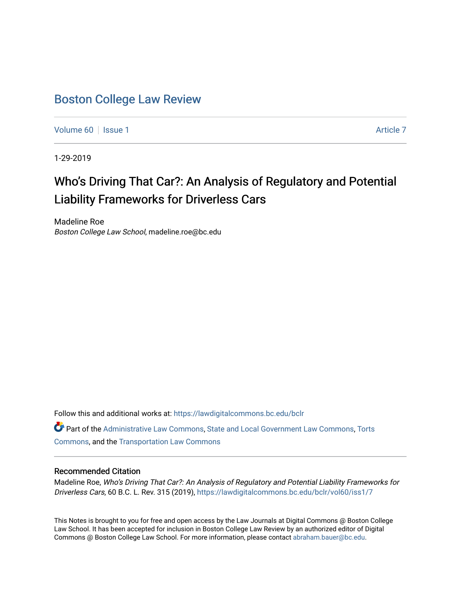# [Boston College Law Review](https://lawdigitalcommons.bc.edu/bclr)

[Volume 60](https://lawdigitalcommons.bc.edu/bclr/vol60) | [Issue 1](https://lawdigitalcommons.bc.edu/bclr/vol60/iss1) [Article 7](https://lawdigitalcommons.bc.edu/bclr/vol60/iss1/7) Article 7 Article 7 Article 7 Article 7 Article 7 Article 7 Article 7

1-29-2019

# Who's Driving That Car?: An Analysis of Regulatory and Potential Liability Frameworks for Driverless Cars

Madeline Roe Boston College Law School, madeline.roe@bc.edu

Follow this and additional works at: [https://lawdigitalcommons.bc.edu/bclr](https://lawdigitalcommons.bc.edu/bclr?utm_source=lawdigitalcommons.bc.edu%2Fbclr%2Fvol60%2Fiss1%2F7&utm_medium=PDF&utm_campaign=PDFCoverPages) 

Part of the [Administrative Law Commons,](http://network.bepress.com/hgg/discipline/579?utm_source=lawdigitalcommons.bc.edu%2Fbclr%2Fvol60%2Fiss1%2F7&utm_medium=PDF&utm_campaign=PDFCoverPages) [State and Local Government Law Commons](http://network.bepress.com/hgg/discipline/879?utm_source=lawdigitalcommons.bc.edu%2Fbclr%2Fvol60%2Fiss1%2F7&utm_medium=PDF&utm_campaign=PDFCoverPages), [Torts](http://network.bepress.com/hgg/discipline/913?utm_source=lawdigitalcommons.bc.edu%2Fbclr%2Fvol60%2Fiss1%2F7&utm_medium=PDF&utm_campaign=PDFCoverPages)  [Commons](http://network.bepress.com/hgg/discipline/913?utm_source=lawdigitalcommons.bc.edu%2Fbclr%2Fvol60%2Fiss1%2F7&utm_medium=PDF&utm_campaign=PDFCoverPages), and the [Transportation Law Commons](http://network.bepress.com/hgg/discipline/885?utm_source=lawdigitalcommons.bc.edu%2Fbclr%2Fvol60%2Fiss1%2F7&utm_medium=PDF&utm_campaign=PDFCoverPages) 

### Recommended Citation

Madeline Roe, Who's Driving That Car?: An Analysis of Regulatory and Potential Liability Frameworks for Driverless Cars, 60 B.C. L. Rev. 315 (2019), [https://lawdigitalcommons.bc.edu/bclr/vol60/iss1/7](https://lawdigitalcommons.bc.edu/bclr/vol60/iss1/7?utm_source=lawdigitalcommons.bc.edu%2Fbclr%2Fvol60%2Fiss1%2F7&utm_medium=PDF&utm_campaign=PDFCoverPages) 

This Notes is brought to you for free and open access by the Law Journals at Digital Commons @ Boston College Law School. It has been accepted for inclusion in Boston College Law Review by an authorized editor of Digital Commons @ Boston College Law School. For more information, please contact [abraham.bauer@bc.edu.](mailto:abraham.bauer@bc.edu)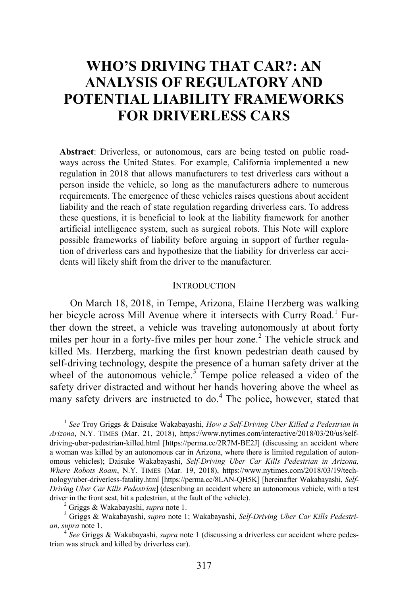# **WHO'S DRIVING THAT CAR?: AN ANALYSIS OF REGULATORY AND POTENTIAL LIABILITY FRAMEWORKS FOR DRIVERLESS CARS**

**Abstract**: Driverless, or autonomous, cars are being tested on public roadways across the United States. For example, California implemented a new regulation in 2018 that allows manufacturers to test driverless cars without a person inside the vehicle, so long as the manufacturers adhere to numerous requirements. The emergence of these vehicles raises questions about accident liability and the reach of state regulation regarding driverless cars. To address these questions, it is beneficial to look at the liability framework for another artificial intelligence system, such as surgical robots. This Note will explore possible frameworks of liability before arguing in support of further regulation of driverless cars and hypothesize that the liability for driverless car accidents will likely shift from the driver to the manufacturer.

#### <span id="page-1-0"></span>**INTRODUCTION**

On March 18, 2018, in Tempe, Arizona, Elaine Herzberg was walking her bicycle across Mill Avenue where it intersects with Curry Road.<sup>[1](#page-1-1)</sup> Further down the street, a vehicle was traveling autonomously at about forty miles per hour in a forty-five miles per hour zone.<sup>[2](#page-1-2)</sup> The vehicle struck and killed Ms. Herzberg, marking the first known pedestrian death caused by self-driving technology, despite the presence of a human safety driver at the wheel of the autonomous vehicle.<sup>[3](#page-1-3)</sup> Tempe police released a video of the safety driver distracted and without her hands hovering above the wheel as many safety drivers are instructed to do.<sup>[4](#page-1-4)</sup> The police, however, stated that

<span id="page-1-1"></span> <sup>1</sup> *See* Troy Griggs & Daisuke Wakabayashi, *How a Self-Driving Uber Killed a Pedestrian in Arizona*, N.Y. TIMES (Mar. 21, 2018), https://www.nytimes.com/interactive/2018/03/20/us/selfdriving-uber-pedestrian-killed.html [https://perma.cc/2R7M-BE2J] (discussing an accident where a woman was killed by an autonomous car in Arizona, where there is limited regulation of autonomous vehicles); Daisuke Wakabayashi, *Self-Driving Uber Car Kills Pedestrian in Arizona, Where Robots Roam*, N.Y. TIMES (Mar. 19, 2018), https://www.nytimes.com/2018/03/19/technology/uber-driverless-fatality.html [https://perma.cc/8LAN-QH5K] [hereinafter Wakabayashi, *Self-Driving Uber Car Kills Pedestrian*] (describing an accident where an autonomous vehicle, with a test driver in the front seat, hit a pedestrian, at the fault of the vehicle).<br><sup>2</sup> Griggs & Wakabayashi, *supra* note [1;](#page-1-0) Wakabayashi, *Self-Driving Uber Car Kills Pedestri*-<br><sup>3</sup> Griggs & Wakabayashi, *supra* note 1; Wakabayashi

<span id="page-1-3"></span><span id="page-1-2"></span>*an*, *supra* note [1.](#page-1-0) 4 *See* Griggs & Wakabayashi, *supra* not[e 1](#page-1-0) (discussing a driverless car accident where pedes-

<span id="page-1-4"></span>trian was struck and killed by driverless car).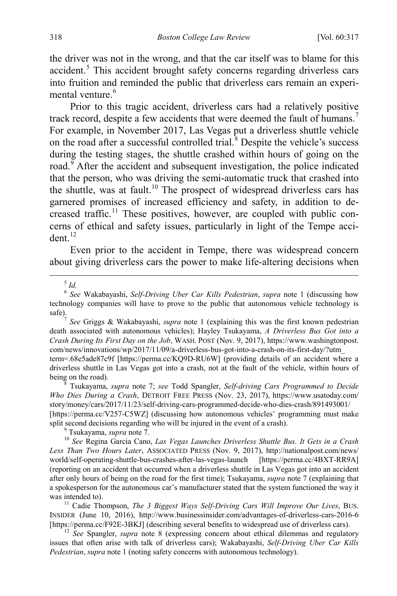the driver was not in the wrong, and that the car itself was to blame for this accident.<sup>[5](#page-2-2)</sup> This accident brought safety concerns regarding driverless cars into fruition and reminded the public that driverless cars remain an experi-mental venture.<sup>[6](#page-2-3)</sup>

<span id="page-2-1"></span><span id="page-2-0"></span>Prior to this tragic accident, driverless cars had a relatively positive track record, despite a few accidents that were deemed the fault of humans.<sup>[7](#page-2-4)</sup> For example, in November 2017, Las Vegas put a driverless shuttle vehicle on the road after a successful controlled trial.<sup>[8](#page-2-5)</sup> Despite the vehicle's success during the testing stages, the shuttle crashed within hours of going on the road. $9$  After the accident and subsequent investigation, the police indicated that the person, who was driving the semi-automatic truck that crashed into the shuttle, was at fault.<sup>[10](#page-2-7)</sup> The prospect of widespread driverless cars has garnered promises of increased efficiency and safety, in addition to de-creased traffic.<sup>[11](#page-2-8)</sup> These positives, however, are coupled with public concerns of ethical and safety issues, particularly in light of the Tempe accident. $12$ 

<span id="page-2-12"></span><span id="page-2-11"></span><span id="page-2-10"></span>Even prior to the accident in Tempe, there was widespread concern about giving driverless cars the power to make life-altering decisions when

5 *Id.*

<span id="page-2-4"></span>See Griggs & Wakabayashi, *supra* note [1](#page-1-0) (explaining this was the first known pedestrian death associated with autonomous vehicles); Hayley Tsukayama, *A Driverless Bus Got into a Crash During Its First Day on the Job*, WASH. POST (Nov. 9, 2017), https://www.washingtonpost. com/news/innovations/wp/2017/11/09/a-driverless-bus-got-into-a-crash-on-its-first-day/?utm\_ term=.68e5ade87c9f [https://perma.cc/KQ9D-RU6W] (providing details of an accident where a driverless shuttle in Las Vegas got into a crash, not at the fault of the vehicle, within hours of

<span id="page-2-5"></span>being on the road). <sup>8</sup> Tsukayama, *supra* note [7;](#page-2-0) *see* Todd Spangler, *Self-driving Cars Programmed to Decide Who Dies During a Crash*, DETROIT FREE PRESS (Nov. 23, 2017), https://www.usatoday.com/ story/money/cars/2017/11/23/self-driving-cars-programmed-decide-who-dies-crash/891493001/ [https://perma.cc/V257-C5WZ] (discussing how autonomous vehicles' programming must make split second decisions regarding who will be injured in the event of a crash).

<span id="page-2-7"></span><span id="page-2-6"></span><sup>9</sup> Tsukayama, *supra* not[e 7.](#page-2-0)<br><sup>10</sup> See Regina Garcia Cano, *Las Vegas Launches Driverless Shuttle Bus. It Gets in a Crash Less Than Two Hours Later*, ASSOCIATED PRESS (Nov. 9, 2017), http://nationalpost.com/news/ world/self-operating-shuttle-bus-crashes-after-las-vegas-launch [https://perma.cc/4BXT-RR9A] (reporting on an accident that occurred when a driverless shuttle in Las Vegas got into an accident after only hours of being on the road for the first time); Tsukayama, *supra* not[e 7](#page-2-0) (explaining that a spokesperson for the autonomous car's manufacturer stated that the system functioned the way it was intended to).<br><sup>11</sup> Cadie Thompson, *The 3 Biggest Ways Self-Driving Cars Will Improve Our Lives*, BUS.

<span id="page-2-8"></span>INSIDER (June 10, 2016), http://www.businessinsider.com/advantages-of-driverless-cars-2016-6

<span id="page-2-9"></span><sup>12</sup> See Spangler, *supra* note [8](#page-2-1) (expressing concern about ethical dilemmas and regulatory issues that often arise with talk of driverless cars); Wakabayashi, *Self-Driving Uber Car Kills Pedestrian*, *supra* not[e 1](#page-1-0) (noting safety concerns with autonomous technology).

<span id="page-2-3"></span><span id="page-2-2"></span><sup>6</sup> *See* Wakabayashi, *Self-Driving Uber Car Kills Pedestrian*, *supra* note [1](#page-1-0) (discussing how technology companies will have to prove to the public that autonomous vehicle technology is safe).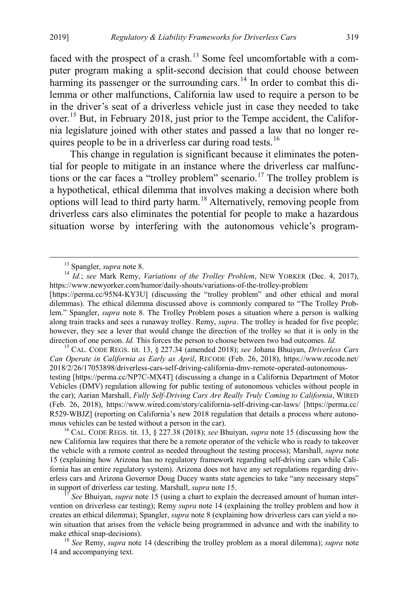<span id="page-3-1"></span>faced with the prospect of a crash.<sup>[13](#page-3-2)</sup> Some feel uncomfortable with a computer program making a split-second decision that could choose between harming its passenger or the surrounding cars.<sup>[14](#page-3-3)</sup> In order to combat this dilemma or other malfunctions, California law used to require a person to be in the driver's seat of a driverless vehicle just in case they needed to take over.<sup>[15](#page-3-4)</sup> But, in February 2018, just prior to the Tempe accident, the California legislature joined with other states and passed a law that no longer re-quires people to be in a driverless car during road tests.<sup>[16](#page-3-5)</sup>

<span id="page-3-0"></span>This change in regulation is significant because it eliminates the potential for people to mitigate in an instance where the driverless car malfunc-tions or the car faces a "trolley problem" scenario.<sup>[17](#page-3-6)</sup> The trolley problem is a hypothetical, ethical dilemma that involves making a decision where both options will lead to third party harm.[18](#page-3-7) Alternatively, removing people from driverless cars also eliminates the potential for people to make a hazardous situation worse by interfering with the autonomous vehicle's program-

<span id="page-3-4"></span>*Can Operate in California as Early as April*, RECODE (Feb. 26, 2018), https://www.recode.net/ 2018/2/26/17053898/driverless-cars-self-driving-california-dmv-remote-operated-autonomoustesting [https://perma.cc/NP7C-MX4T] (discussing a change in a California Department of Motor Vehicles (DMV) regulation allowing for public testing of autonomous vehicles without people in the car); Aarian Marshall, *Fully Self-Driving Cars Are Really Truly Coming to California*, WIRED (Feb. 26, 2018), https://www.wired.com/story/california-self-driving-car-laws/ [https://perma.cc/ R529-WBJZ] (reporting on California's new 2018 regulation that details a process where autonomous vehicles can be tested without a person in the car). <sup>16</sup> CAL. CODE REGS. tit. 13, § 227.38 (2018); *see* Bhuiyan, *supra* not[e 15](#page-3-0) (discussing how the

<span id="page-3-5"></span>new California law requires that there be a remote operator of the vehicle who is ready to takeover the vehicle with a remote control as needed throughout the testing process); Marshall, *supra* note [15](#page-3-0) (explaining how Arizona has no regulatory framework regarding self-driving cars while California has an entire regulatory system). Arizona does not have any set regulations regarding driverless cars and Arizona Governor Doug Ducey wants state agencies to take "any necessary steps" in support of driverless car testing. Marshall, *supra* note [15](#page-3-0).<br><sup>17</sup> *See* Bhuiyan, *supra* note 15 (using a chart to explain the decreased amount of human inter-

<span id="page-3-6"></span>vention on driverless car testing); Remy *supra* note [14](#page-3-1) (explaining the trolley problem and how it creates an ethical dilemma); Spangler, *supra* not[e 8](#page-2-1) (explaining how driverless cars can yield a nowin situation that arises from the vehicle being programmed in advance and with the inability to make ethical snap-decisions). <sup>18</sup> *See* Remy, *supra* not[e 14](#page-3-1) (describing the trolley problem as a moral dilemma); *supra* note

<span id="page-3-7"></span>[14](#page-3-1) and accompanying text.

<span id="page-3-3"></span><span id="page-3-2"></span><sup>&</sup>lt;sup>13</sup> Spangler, *supra* not[e 8.](#page-2-1)<br><sup>14</sup> *Id.*; *see* Mark Remy, *Variations of the Trolley Problem*, NEW YORKER (Dec. 4, 2017), https://www.newyorker.com/humor/daily-shouts/variations-of-the-trolley-problem

<sup>[</sup>https://perma.cc/95N4-KY3U] (discussing the "trolley problem" and other ethical and moral dilemmas). The ethical dilemma discussed above is commonly compared to "The Trolley Problem." Spangler, *supra* note [8.](#page-2-1) The Trolley Problem poses a situation where a person is walking along train tracks and sees a runaway trolley. Remy, *supra*. The trolley is headed for five people; however, they see a lever that would change the direction of the trolley so that it is only in the direction of one person. *Id.* This forces the person to choose between two bad outcomes. *Id.* <sup>15</sup> CAL. CODE REGS. tit. 13, § 227.34 (amended 2018); *see* Johana Bhuiyan, *Driverless Cars*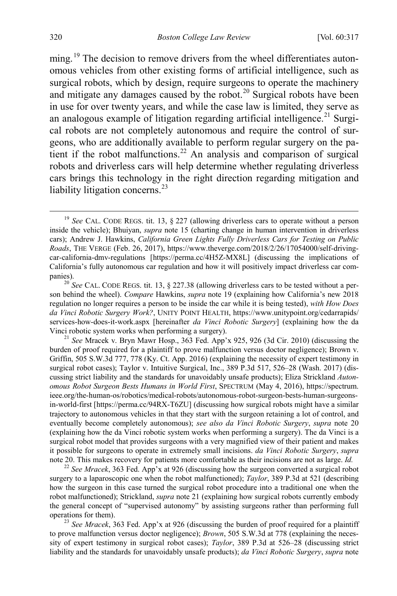<span id="page-4-2"></span><span id="page-4-1"></span><span id="page-4-0"></span>ming.<sup>[19](#page-4-3)</sup> The decision to remove drivers from the wheel differentiates autonomous vehicles from other existing forms of artificial intelligence, such as surgical robots, which by design, require surgeons to operate the machinery and mitigate any damages caused by the robot.<sup>[20](#page-4-4)</sup> Surgical robots have been in use for over twenty years, and while the case law is limited, they serve as an analogous example of litigation regarding artificial intelligence.<sup>[21](#page-4-5)</sup> Surgical robots are not completely autonomous and require the control of surgeons, who are additionally available to perform regular surgery on the pa-tient if the robot malfunctions.<sup>[22](#page-4-6)</sup> An analysis and comparison of surgical robots and driverless cars will help determine whether regulating driverless cars brings this technology in the right direction regarding mitigation and liability litigation concerns. $^{23}$  $^{23}$  $^{23}$ 

<span id="page-4-5"></span><sup>21</sup> *See* Mracek v. Bryn Mawr Hosp., 363 Fed. App'x 925, 926 (3d Cir. 2010) (discussing the burden of proof required for a plaintiff to prove malfunction versus doctor negligence); Brown v. Griffin, 505 S.W.3d 777, 778 (Ky. Ct. App. 2016) (explaining the necessity of expert testimony in surgical robot cases); Taylor v. Intuitive Surgical, Inc., 389 P.3d 517, 526–28 (Wash. 2017) (discussing strict liability and the standards for unavoidably unsafe products); Eliza Strickland *Autonomous Robot Surgeon Bests Humans in World First*, SPECTRUM (May 4, 2016), https://spectrum. ieee.org/the-human-os/robotics/medical-robots/autonomous-robot-surgeon-bests-human-surgeonsin-world-first [https://perma.cc/94RX-T6ZU] (discussing how surgical robots might have a similar trajectory to autonomous vehicles in that they start with the surgeon retaining a lot of control, and eventually become completely autonomous); *see also da Vinci Robotic Surgery*, *supra* note [20](#page-4-1) (explaining how the da Vinci robotic system works when performing a surgery). The da Vinci is a surgical robot model that provides surgeons with a very magnified view of their patient and makes it possible for surgeons to operate in extremely small incisions. *da Vinci Robotic Surgery*, *supra*

<span id="page-4-6"></span><sup>22</sup> See Mracek, 363 Fed. App'x at 926 (discussing how the surgeon converted a surgical robot surgery to a laparoscopic one when the robot malfunctioned); *Taylor*, 389 P.3d at 521 (describing how the surgeon in this case turned the surgical robot procedure into a traditional one when the robot malfunctioned); Strickland, *supra* not[e 21](#page-4-2) (explaining how surgical robots currently embody the general concept of "supervised autonomy" by assisting surgeons rather than performing full operations for them). <sup>23</sup> *See Mracek*, 363 Fed. App'x at 926 (discussing the burden of proof required for a plaintiff

<span id="page-4-7"></span>to prove malfunction versus doctor negligence); *Brown*, 505 S.W.3d at 778 (explaining the necessity of expert testimony in surgical robot cases); *Taylor*, 389 P.3d at 526–28 (discussing strict liability and the standards for unavoidably unsafe products); *da Vinci Robotic Surgery*, *supra* note

<span id="page-4-8"></span><span id="page-4-3"></span><sup>&</sup>lt;sup>19</sup> See CAL. CODE REGS. tit. 13, § 227 (allowing driverless cars to operate without a person inside the vehicle); Bhuiyan, *supra* note [15](#page-3-0) (charting change in human intervention in driverless cars); Andrew J. Hawkins, *California Green Lights Fully Driverless Cars for Testing on Public Roads*, THE VERGE (Feb. 26, 2017), https://www.theverge.com/2018/2/26/17054000/self-drivingcar-california-dmv-regulations [https://perma.cc/4H5Z-MX8L] (discussing the implications of California's fully autonomous car regulation and how it will positively impact driverless car com-

<span id="page-4-4"></span>panies).<br><sup>20</sup> *See* CAL. CODE REGS. tit. 13, § 227.38 (allowing driverless cars to be tested without a person behind the wheel). *Compare* Hawkins, *supra* note [19](#page-4-0) (explaining how California's new 2018 regulation no longer requires a person to be inside the car while it is being tested), *with How Does da Vinci Robotic Surgery Work?*, UNITY POINT HEALTH, https://www.unitypoint.org/cedarrapids/ services-how-does-it-work.aspx [hereinafter *da Vinci Robotic Surgery*] (explaining how the da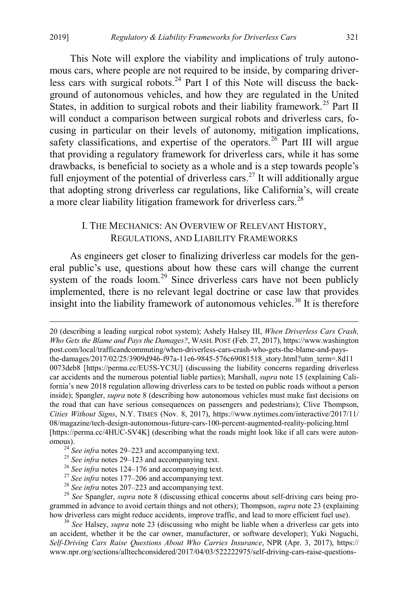This Note will explore the viability and implications of truly autonomous cars, where people are not required to be inside, by comparing driver-less cars with surgical robots.<sup>[24](#page-5-1)</sup> Part I of this Note will discuss the background of autonomous vehicles, and how they are regulated in the United States, in addition to surgical robots and their liability framework.<sup>[25](#page-5-2)</sup> Part II will conduct a comparison between surgical robots and driverless cars, focusing in particular on their levels of autonomy, mitigation implications, safety classifications, and expertise of the operators.<sup>[26](#page-5-3)</sup> Part III will argue that providing a regulatory framework for driverless cars, while it has some drawbacks, is beneficial to society as a whole and is a step towards people's full enjoyment of the potential of driverless cars.<sup>[27](#page-5-4)</sup> It will additionally argue that adopting strong driverless car regulations, like California's, will create a more clear liability litigation framework for driverless cars.<sup>[28](#page-5-5)</sup>

## <span id="page-5-8"></span><span id="page-5-0"></span>I. THE MECHANICS: AN OVERVIEW OF RELEVANT HISTORY, REGULATIONS, AND LIABILITY FRAMEWORKS

As engineers get closer to finalizing driverless car models for the general public's use, questions about how these cars will change the current system of the roads loom.<sup>[29](#page-5-6)</sup> Since driverless cars have not been publicly implemented, there is no relevant legal doctrine or case law that provides insight into the liability framework of autonomous vehicles.<sup>[30](#page-5-7)</sup> It is therefore

[20](#page-4-1) (describing a leading surgical robot system); Ashely Halsey III, *When Driverless Cars Crash, Who Gets the Blame and Pays the Damages?*, WASH. POST (Feb. 27, 2017), https://www.washington post.com/local/trafficandcommuting/when-driverless-cars-crash-who-gets-the-blame-and-paysthe-damages/2017/02/25/3909d946-f97a-11e6-9845-576c69081518\_story.html?utm\_term=.8d11 0073deb8 [https://perma.cc/EU5S-YC3U] (discussing the liability concerns regarding driverless car accidents and the numerous potential liable parties); Marshall, *supra* note [15](#page-3-0) (explaining California's new 2018 regulation allowing driverless cars to be tested on public roads without a person inside); Spangler, *supra* note [8](#page-2-1) (describing how autonomous vehicles must make fast decisions on the road that can have serious consequences on passengers and pedestrians); Clive Thompson, *Cities Without Signs*, N.Y. TIMES (Nov. 8, 2017), https://www.nytimes.com/interactive/2017/11/ 08/magazine/tech-design-autonomous-future-cars-100-percent-augmented-reality-policing.html [https://perma.cc/4HUC-SV4K] (describing what the roads might look like if all cars were autonomous).<br>
<sup>24</sup> See infra note[s 29–](#page-5-0)[223](#page-30-0) and accompanying text.<br>
<sup>25</sup> See infra notes 29–[123](#page-18-0) and accompanying text.<br>
<sup>26</sup> See infra note[s 124](#page-18-1)[–176](#page-24-0) and accompanying text.<br>
<sup>27</sup> See infra note[s 177](#page-25-0)[–206](#page-28-0) and accompanying text.<br>
<sup>2</sup>

<span id="page-5-1"></span>

<span id="page-5-6"></span><span id="page-5-5"></span><span id="page-5-4"></span><span id="page-5-3"></span><span id="page-5-2"></span>grammed in advance to avoid certain things and not others); Thompson, *supra* note [23](#page-4-8) (explaining how driverless cars might reduce accidents, improve traffic, and lead to more efficient fuel use). <sup>30</sup> *See* Halsey, *supra* note [23](#page-4-8) (discussing who might be liable when a driverless car gets into

<span id="page-5-7"></span>an accident, whether it be the car owner, manufacturer, or software developer); Yuki Noguchi, *Self-Driving Cars Raise Questions About Who Carries Insurance*, NPR (Apr. 3, 2017), https:// www.npr.org/sections/alltechconsidered/2017/04/03/522222975/self-driving-cars-raise-questions-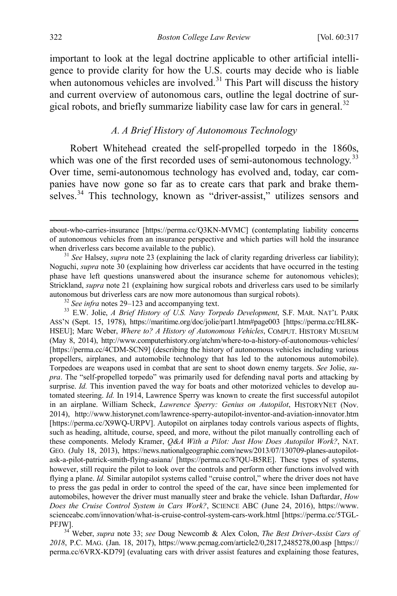important to look at the legal doctrine applicable to other artificial intelligence to provide clarity for how the U.S. courts may decide who is liable when autonomous vehicles are involved. $31$  This Part will discuss the history and current overview of autonomous cars, outline the legal doctrine of sur-gical robots, and briefly summarize liability case law for cars in general.<sup>[32](#page-6-2)</sup>

#### <span id="page-6-0"></span>*A. A Brief History of Autonomous Technology*

Robert Whitehead created the self-propelled torpedo in the 1860s, which was one of the first recorded uses of semi-autonomous technology.<sup>[33](#page-6-3)</sup> Over time, semi-autonomous technology has evolved and, today, car companies have now gone so far as to create cars that park and brake them-selves.<sup>[34](#page-6-4)</sup> This technology, known as "driver-assist," utilizes sensors and

<span id="page-6-3"></span><span id="page-6-2"></span>ASS'N (Sept. 15, 1978), https://maritime.org/doc/jolie/part1.htm#page003 [https://perma.cc/HL8K-HSEU]; Marc Weber, *Where to? A History of Autonomous Vehicles*, COMPUT. HISTORY MUSEUM (May 8, 2014), http://www.computerhistory.org/atchm/where-to-a-history-of-autonomous-vehicles/ [https://perma.cc/4CDM-SCN9] (describing the history of autonomous vehicles including various propellers, airplanes, and automobile technology that has led to the autonomous automobile). Torpedoes are weapons used in combat that are sent to shoot down enemy targets. *See* Jolie, *supra*. The "self-propelled torpedo" was primarily used for defending naval ports and attacking by surprise. *Id.* This invention paved the way for boats and other motorized vehicles to develop automated steering. *Id.* In 1914, Lawrence Sperry was known to create the first successful autopilot in an airplane. William Scheck, *Lawrence Sperry: Genius on Autopilot*, HISTORYNET (Nov. 2014), http://www.historynet.com/lawrence-sperry-autopilot-inventor-and-aviation-innovator.htm [https://perma.cc/X9WQ-URPV]. Autopilot on airplanes today controls various aspects of flights, such as heading, altitude, course, speed, and more, without the pilot manually controlling each of these components. Melody Kramer, *Q&A With a Pilot: Just How Does Autopilot Work?*, NAT. GEO. (July 18, 2013), https://news.nationalgeographic.com/news/2013/07/130709-planes-autopilotask-a-pilot-patrick-smith-flying-asiana/ [https://perma.cc/87QU-B5RE]. These types of systems, however, still require the pilot to look over the controls and perform other functions involved with flying a plane. *Id.* Similar autopilot systems called "cruise control," where the driver does not have to press the gas pedal in order to control the speed of the car, have since been implemented for automobiles, however the driver must manually steer and brake the vehicle. Ishan Daftardar, *How Does the Cruise Control System in Cars Work?*, SCIENCE ABC (June 24, 2016), https://www. scienceabc.com/innovation/what-is-cruise-control-system-cars-work.html [https://perma.cc/5TGL-

<span id="page-6-4"></span>PFJW]. <sup>34</sup> Weber, *supra* note [33;](#page-6-0) *see* Doug Newcomb & Alex Colon, *The Best Driver-Assist Cars of 2018*, P.C. MAG. (Jan. 18, 2017), https://www.pcmag.com/article2/0,2817,2485278,00.asp [https:// perma.cc/6VRX-KD79] (evaluating cars with driver assist features and explaining those features,

<span id="page-6-5"></span>about-who-carries-insurance [https://perma.cc/Q3KN-MVMC] (contemplating liability concerns of autonomous vehicles from an insurance perspective and which parties will hold the insurance when driverless cars become available to the public).<br><sup>31</sup> *See* Halsey, *supra* not[e 23](#page-4-8) (explaining the lack of clarity regarding driverless car liability);

<span id="page-6-1"></span>Noguchi, *supra* note [30](#page-5-8) (explaining how driverless car accidents that have occurred in the testing phase have left questions unanswered about the insurance scheme for autonomous vehicles); Strickland, *supra* not[e 21](#page-4-2) (explaining how surgical robots and driverless cars used to be similarly autonomous but driverless cars are now more autonomous than surgical robots).<br><sup>32</sup> See infra note[s 29–](#page-5-0)[123](#page-18-0) and accompanying text.<br><sup>33</sup> E.W. Jolie, *A Brief History of U.S. Navy Torpedo Development*, S.F. MAR. NAT'L PARK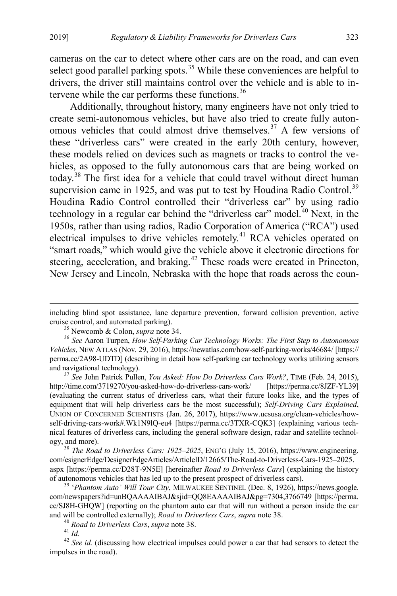cameras on the car to detect where other cars are on the road, and can even select good parallel parking spots.<sup>[35](#page-7-1)</sup> While these conveniences are helpful to drivers, the driver still maintains control over the vehicle and is able to intervene while the car performs these functions. $36$ 

<span id="page-7-9"></span><span id="page-7-0"></span>Additionally, throughout history, many engineers have not only tried to create semi-autonomous vehicles, but have also tried to create fully auton-omous vehicles that could almost drive themselves.<sup>[37](#page-7-3)</sup> A few versions of these "driverless cars" were created in the early 20th century, however, these models relied on devices such as magnets or tracks to control the vehicles, as opposed to the fully autonomous cars that are being worked on today.[38](#page-7-4) The first idea for a vehicle that could travel without direct human supervision came in 1925, and was put to test by Houdina Radio Control.<sup>[39](#page-7-5)</sup> Houdina Radio Control controlled their "driverless car" by using radio technology in a regular car behind the "driverless car" model.<sup>[40](#page-7-6)</sup> Next, in the 1950s, rather than using radios, Radio Corporation of America ("RCA") used electrical impulses to drive vehicles remotely.<sup>[41](#page-7-7)</sup> RCA vehicles operated on "smart roads," which would give the vehicle above it electronic directions for steering, acceleration, and braking.<sup>[42](#page-7-8)</sup> These roads were created in Princeton, New Jersey and Lincoln, Nebraska with the hope that roads across the coun-

<span id="page-7-3"></span>http://time.com/3719270/you-asked-how-do-driverless-cars-work/ [https://perma.cc/8JZF-YL39] (evaluating the current status of driverless cars, what their future looks like, and the types of equipment that will help driverless cars be the most successful); *Self-Driving Cars Explained*, UNION OF CONCERNED SCIENTISTS (Jan. 26, 2017), https://www.ucsusa.org/clean-vehicles/howself-driving-cars-work#.Wk1N9lQ-eu4 [https://perma.cc/3TXR-CQK3] (explaining various technical features of driverless cars, including the general software design, radar and satellite technology, and more). <sup>38</sup> *The Road to Driverless Cars: 1925–2025*, ENG'G (July 15, 2016), https://www.engineering.

<span id="page-7-4"></span>com/esignerEdge/DesignerEdgeArticles/ArticleID/12665/The-Road-to-Driverless-Cars-1925–2025. aspx [https://perma.cc/D28T-9N5E] [hereinafter *Road to Driverless Cars*] (explaining the history

<span id="page-7-5"></span>of autonomous vehicles that has led up to the present prospect of driverless cars). 39 '*Phantom Auto' Will Tour City*, MILWAUKEE SENTINEL (Dec. 8, 1926), https://news.google. com/newspapers?id=unBQAAAAIBAJ&sjid=QQ8EAAAAIBAJ&pg=7304,3766749 [https://perma. cc/SJ8H-GHQW] (reporting on the phantom auto car that will run without a person inside the car and will be controlled externally); *Road to Driverless Cars*, *supra* note [38.](#page-7-0)<br><sup>40</sup> *Road to Driverless Cars*, *supra* note 38.<br><sup>41</sup> *Id.*<br><sup>42</sup> *See id.* (discussing how electrical impulses could power a car that had sen

<span id="page-7-8"></span><span id="page-7-7"></span><span id="page-7-6"></span>impulses in the road).

including blind spot assistance, lane departure prevention, forward collision prevention, active cruise control, and automated parking). <sup>35</sup> Newcomb & Colon, *supra* not[e 34.](#page-6-5) 36 *See* Aaron Turpen, *How Self-Parking Car Technology Works: The First Step to Autonomous* 

<span id="page-7-2"></span><span id="page-7-1"></span>*Vehicles*, NEW ATLAS (Nov. 29, 2016), https://newatlas.com/how-self-parking-works/46684/ [https:// perma.cc/2A98-UDTD] (describing in detail how self-parking car technology works utilizing sensors and navigational technology). <sup>37</sup> *See* John Patrick Pullen, *You Asked: How Do Driverless Cars Work?*, TIME (Feb. 24, 2015),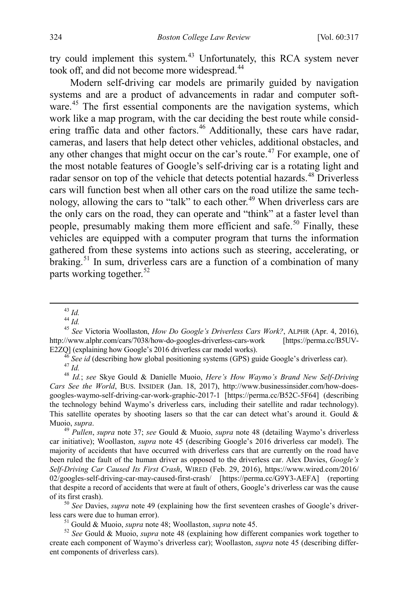try could implement this system.<sup>[43](#page-8-3)</sup> Unfortunately, this RCA system never took off, and did not become more widespread.<sup>[44](#page-8-4)</sup>

<span id="page-8-1"></span><span id="page-8-0"></span>Modern self-driving car models are primarily guided by navigation systems and are a product of advancements in radar and computer soft-ware.<sup>[45](#page-8-5)</sup> The first essential components are the navigation systems, which work like a map program, with the car deciding the best route while consid-ering traffic data and other factors.<sup>[46](#page-8-6)</sup> Additionally, these cars have radar, cameras, and lasers that help detect other vehicles, additional obstacles, and any other changes that might occur on the car's route.<sup> $47$ </sup> For example, one of the most notable features of Google's self-driving car is a rotating light and radar sensor on top of the vehicle that detects potential hazards.<sup>[48](#page-8-8)</sup> Driverless cars will function best when all other cars on the road utilize the same tech-nology, allowing the cars to "talk" to each other.<sup>[49](#page-8-9)</sup> When driverless cars are the only cars on the road, they can operate and "think" at a faster level than people, presumably making them more efficient and safe.<sup>[50](#page-8-10)</sup> Finally, these vehicles are equipped with a computer program that turns the information gathered from these systems into actions such as steering, accelerating, or braking.<sup>[51](#page-8-11)</sup> In sum, driverless cars are a function of a combination of many parts working together.<sup>[52](#page-8-12)</sup>

<span id="page-8-8"></span><span id="page-8-7"></span><span id="page-8-6"></span><span id="page-8-5"></span>E2ZQ] (explaining how Google's 2016 driverless car model works).<br><sup>46</sup> See id (describing how global positioning systems (GPS) guide Google's driverless car).<br><sup>47</sup> Id.<br><sup>48</sup> Id.; see Skye Gould & Danielle Muoio, *Here's How Cars See the World*, BUS. INSIDER (Jan. 18, 2017), http://www.businessinsider.com/how-doesgoogles-waymo-self-driving-car-work-graphic-2017-1 [https://perma.cc/B52C-5F64] (describing the technology behind Waymo's driverless cars, including their satellite and radar technology). This satellite operates by shooting lasers so that the car can detect what's around it. Gould  $\&$ Muoio, *supra*. 49 *Pullen*, *supra* note [37;](#page-7-9) *see* Gould & Muoio, *supra* note [48](#page-8-0) (detailing Waymo's driverless

<span id="page-8-9"></span>car initiative); Woollaston, *supra* note [45](#page-8-1) (describing Google's 2016 driverless car model). The majority of accidents that have occurred with driverless cars that are currently on the road have been ruled the fault of the human driver as opposed to the driverless car. Alex Davies, *Google's Self-Driving Car Caused Its First Crash*, WIRED (Feb. 29, 2016), https://www.wired.com/2016/ 02/googles-self-driving-car-may-caused-first-crash/ [https://perma.cc/G9Y3-AEFA] (reporting that despite a record of accidents that were at fault of others, Google's driverless car was the cause

<span id="page-8-10"></span>of its first crash).<br><sup>50</sup> *See* Davies, *supra* note [49](#page-8-2) (explaining how the first seventeen crashes of Google's driver-<br>less cars were due to human error).

<span id="page-8-12"></span><span id="page-8-11"></span><sup>51</sup> Gould & Muoio, *supra* note [48;](#page-8-0) Woollaston, *supra* not[e 45.](#page-8-1) <sup>52</sup> *See* Gould & Muoio, *supra* note [48](#page-8-0) (explaining how different companies work together to create each component of Waymo's driverless car); Woollaston, *supra* note [45](#page-8-1) (describing different components of driverless cars).

<span id="page-8-2"></span>

<span id="page-8-4"></span><span id="page-8-3"></span><sup>43</sup> *Id.* <sup>44</sup> *Id.* <sup>45</sup> *See* Victoria Woollaston, *How Do Google's Driverless Cars Work?*, ALPHR (Apr. 4, 2016), http://www.alphr.com/cars/7038/how-do-googles-driverless-cars-work [https://perma.cc/B5UV-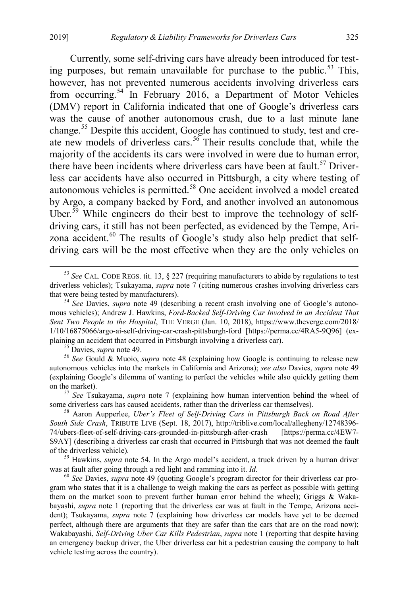<span id="page-9-0"></span>Currently, some self-driving cars have already been introduced for test-ing purposes, but remain unavailable for purchase to the public.<sup>[53](#page-9-1)</sup> This, however, has not prevented numerous accidents involving driverless cars from occurring.[54](#page-9-2) In February 2016, a Department of Motor Vehicles (DMV) report in California indicated that one of Google's driverless cars was the cause of another autonomous crash, due to a last minute lane change.<sup>[55](#page-9-3)</sup> Despite this accident, Google has continued to study, test and cre-ate new models of driverless cars.<sup>[56](#page-9-4)</sup> Their results conclude that, while the majority of the accidents its cars were involved in were due to human error, there have been incidents where driverless cars have been at fault.<sup>[57](#page-9-5)</sup> Driverless car accidents have also occurred in Pittsburgh, a city where testing of autonomous vehicles is permitted.<sup>[58](#page-9-6)</sup> One accident involved a model created by Argo, a company backed by Ford, and another involved an autonomous Uber.<sup>[59](#page-9-7)</sup> While engineers do their best to improve the technology of selfdriving cars, it still has not been perfected, as evidenced by the Tempe, Ari-zona accident.<sup>[60](#page-9-8)</sup> The results of Google's study also help predict that selfdriving cars will be the most effective when they are the only vehicles on

<span id="page-9-4"></span><span id="page-9-3"></span>autonomous vehicles into the markets in California and Arizona); *see also* Davies, *supra* note [49](#page-8-2) (explaining Google's dilemma of wanting to perfect the vehicles while also quickly getting them on the market). <sup>57</sup> *See* Tsukayama, *supra* note [7](#page-2-0) (explaining how human intervention behind the wheel of

<span id="page-9-5"></span>some driverless cars has caused accidents, rather than the driverless car themselves). <sup>58</sup> Aaron Aupperlee, *Uber's Fleet of Self-Driving Cars in Pittsburgh Back on Road After* 

<span id="page-9-6"></span>*South Side Crash*, TRIBUTE LIVE (Sept. 18, 2017), http://triblive.com/local/allegheny/12748396- 74/ubers-fleet-of-self-driving-cars-grounded-in-pittsburgh-after-crash [https://perma.cc/4EW7- S9AY] (describing a driverless car crash that occurred in Pittsburgh that was not deemed the fault of the driverless vehicle)*.* <sup>59</sup> Hawkins, *supra* note [54.](#page-9-0) In the Argo model's accident, a truck driven by a human driver

<span id="page-9-7"></span>was at fault after going through a red light and ramming into it. *Id.* <sup>60</sup> *See* Davies, *supra* note [49](#page-8-2) (quoting Google's program director for their driverless car pro-

<span id="page-9-8"></span>gram who states that it is a challenge to weigh making the cars as perfect as possible with getting them on the market soon to prevent further human error behind the wheel); Griggs & Wakabayashi, *supra* note [1](#page-1-0) (reporting that the driverless car was at fault in the Tempe, Arizona accident); Tsukayama, *supra* note [7](#page-2-0) (explaining how driverless car models have yet to be deemed perfect, although there are arguments that they are safer than the cars that are on the road now); Wakabayashi, *Self-Driving Uber Car Kills Pedestrian*, *supra* not[e 1](#page-1-0) (reporting that despite having an emergency backup driver, the Uber driverless car hit a pedestrian causing the company to halt vehicle testing across the country).

<span id="page-9-1"></span> <sup>53</sup> *See* CAL. CODE REGS. tit. 13, § 227 (requiring manufacturers to abide by regulations to test driverless vehicles); Tsukayama, *supra* note [7](#page-2-0) (citing numerous crashes involving driverless cars that were being tested by manufacturers). <sup>54</sup> *See* Davies, *supra* note [49](#page-8-2) (describing a recent crash involving one of Google's autono-

<span id="page-9-2"></span>mous vehicles); Andrew J. Hawkins, *Ford-Backed Self-Driving Car Involved in an Accident That Sent Two People to the Hospital*, THE VERGE (Jan. 10, 2018), https://www.theverge.com/2018/ 1/10/16875066/argo-ai-self-driving-car-crash-pittsburgh-ford [https://perma.cc/4RA5-9Q96] (explaining an accident that occurred in Pittsburgh involving a driverless car).<br><sup>55</sup> Davies, *supra* not[e 49.](#page-8-2)<br><sup>56</sup> *See* Gould & Muoio, *supra* note [48](#page-8-0) (explaining how Google is continuing to release new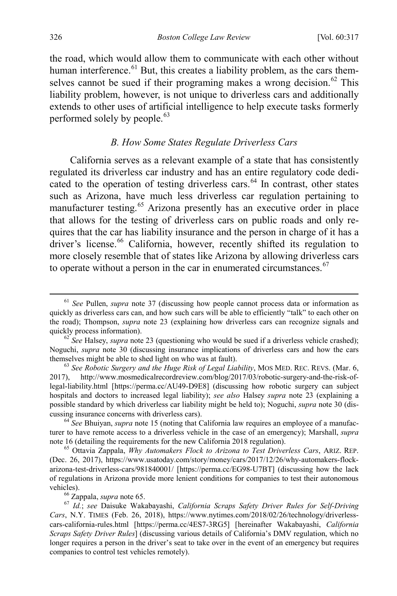the road, which would allow them to communicate with each other without human interference.<sup>[61](#page-10-1)</sup> But, this creates a liability problem, as the cars them-selves cannot be sued if their programing makes a wrong decision.<sup>[62](#page-10-2)</sup> This liability problem, however, is not unique to driverless cars and additionally extends to other uses of artificial intelligence to help execute tasks formerly performed solely by people.<sup>[63](#page-10-3)</sup>

#### <span id="page-10-9"></span><span id="page-10-8"></span><span id="page-10-0"></span>*B. How Some States Regulate Driverless Cars*

California serves as a relevant example of a state that has consistently regulated its driverless car industry and has an entire regulatory code dedi-cated to the operation of testing driverless cars.<sup>[64](#page-10-4)</sup> In contrast, other states such as Arizona, have much less driverless car regulation pertaining to manufacturer testing.<sup>[65](#page-10-5)</sup> Arizona presently has an executive order in place that allows for the testing of driverless cars on public roads and only requires that the car has liability insurance and the person in charge of it has a driver's license.<sup>[66](#page-10-6)</sup> California, however, recently shifted its regulation to more closely resemble that of states like Arizona by allowing driverless cars to operate without a person in the car in enumerated circumstances. $67$ 

<span id="page-10-1"></span> <sup>61</sup> *See* Pullen, *supra* note [37](#page-7-9) (discussing how people cannot process data or information as quickly as driverless cars can, and how such cars will be able to efficiently "talk" to each other on the road); Thompson, *supra* note [23](#page-4-8) (explaining how driverless cars can recognize signals and quickly process information).<br><sup>62</sup> *See* Halsey, *supra* not[e 23](#page-4-8) (questioning who would be sued if a driverless vehicle crashed);

<span id="page-10-2"></span>Noguchi, *supra* note [30](#page-5-8) (discussing insurance implications of driverless cars and how the cars themselves might be able to shed light on who was at fault). <sup>63</sup> *See Robotic Surgery and the Huge Risk of Legal Liability*, MOS MED. REC. REVS. (Mar. 6,

<span id="page-10-3"></span><sup>2017),</sup> http://www.mosmedicalrecordreview.com/blog/2017/03/robotic-surgery-and-the-risk-oflegal-liability.html [https://perma.cc/AU49-D9E8] (discussing how robotic surgery can subject hospitals and doctors to increased legal liability); *see also* Halsey *supra* note [23](#page-4-8) (explaining a possible standard by which driverless car liability might be held to); Noguchi, *supra* not[e 30](#page-5-8) (discussing insurance concerns with driverless cars). <sup>64</sup> *See* Bhuiyan, *supra* not[e 15](#page-3-0) (noting that California law requires an employee of a manufac-

<span id="page-10-4"></span>turer to have remote access to a driverless vehicle in the case of an emergency); Marshall, *supra* note 16 (detailing the requirements for the new California 2018 regulation). <sup>65</sup> Ottavia Zappala, *Why Automakers Flock to Arizona to Test Driverless Cars*, ARIZ. REP.

<span id="page-10-5"></span><sup>(</sup>Dec. 26, 2017), https://www.usatoday.com/story/money/cars/2017/12/26/why-automakers-flockarizona-test-driverless-cars/981840001/ [https://perma.cc/EG98-U7BT] (discussing how the lack of regulations in Arizona provide more lenient conditions for companies to test their autonomous vehicles). <sup>66</sup> Zappala, *supra* not[e 65.](#page-10-0) 67 *Id.*; *see* Daisuke Wakabayashi, *California Scraps Safety Driver Rules for Self-Driving* 

<span id="page-10-7"></span><span id="page-10-6"></span>*Cars*, N.Y. TIMES (Feb. 26, 2018), https://www.nytimes.com/2018/02/26/technology/driverlesscars-california-rules.html [https://perma.cc/4ES7-3RG5] [hereinafter Wakabayashi, *California Scraps Safety Driver Rules*] (discussing various details of California's DMV regulation, which no longer requires a person in the driver's seat to take over in the event of an emergency but requires companies to control test vehicles remotely).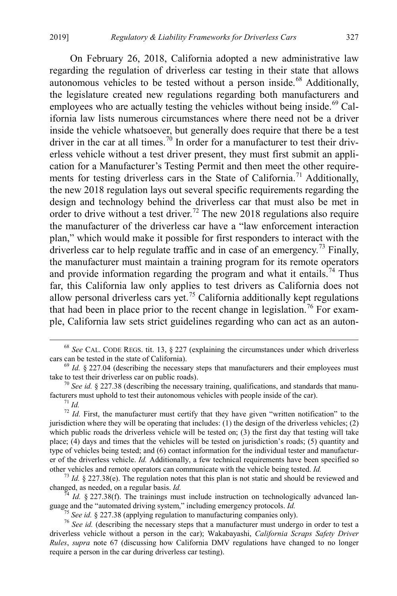On February 26, 2018, California adopted a new administrative law regarding the regulation of driverless car testing in their state that allows autonomous vehicles to be tested without a person inside.<sup>[68](#page-11-0)</sup> Additionally, the legislature created new regulations regarding both manufacturers and employees who are actually testing the vehicles without being inside.<sup>[69](#page-11-1)</sup> California law lists numerous circumstances where there need not be a driver inside the vehicle whatsoever, but generally does require that there be a test driver in the car at all times.<sup>[70](#page-11-2)</sup> In order for a manufacturer to test their driverless vehicle without a test driver present, they must first submit an application for a Manufacturer's Testing Permit and then meet the other require-ments for testing driverless cars in the State of California.<sup>[71](#page-11-3)</sup> Additionally, the new 2018 regulation lays out several specific requirements regarding the design and technology behind the driverless car that must also be met in order to drive without a test driver.<sup>[72](#page-11-4)</sup> The new 2018 regulations also require the manufacturer of the driverless car have a "law enforcement interaction plan," which would make it possible for first responders to interact with the driverless car to help regulate traffic and in case of an emergency.<sup>[73](#page-11-5)</sup> Finally, the manufacturer must maintain a training program for its remote operators and provide information regarding the program and what it entails.<sup>74</sup> Thus far, this California law only applies to test drivers as California does not allow personal driverless cars yet.<sup>[75](#page-11-7)</sup> California additionally kept regulations that had been in place prior to the recent change in legislation.<sup>[76](#page-11-8)</sup> For example, California law sets strict guidelines regarding who can act as an auton-

<span id="page-11-6"></span><span id="page-11-5"></span>changed, as needed, on a regular basis. *Id.*<br><sup>74</sup> *Id.* § 227.38(f). The trainings must include instruction on technologically advanced language and the "automated driving system," including emergency protocols. *Id.* 

<span id="page-11-0"></span><sup>&</sup>lt;sup>68</sup> *See* CAL. CODE REGS. tit. 13, § 227 (explaining the circumstances under which driverless cars can be tested in the state of California).

<span id="page-11-1"></span> $69$  *Id.* § 227.04 (describing the necessary steps that manufacturers and their employees must

<span id="page-11-2"></span>take to test their driverless car on public roads).<br><sup>70</sup> *See id.* § 227.38 (describing the necessary training, qualifications, and standards that manu-<br>facturers must uphold to test their autonomous vehicles with people i

<span id="page-11-4"></span><span id="page-11-3"></span><sup>&</sup>lt;sup>71</sup> *Id.*  $\frac{1}{2}$  *Id.* First, the manufacturer must certify that they have given "written notification" to the jurisdiction where they will be operating that includes: (1) the design of the driverless vehicles; (2) which public roads the driverless vehicle will be tested on; (3) the first day that testing will take place; (4) days and times that the vehicles will be tested on jurisdiction's roads; (5) quantity and type of vehicles being tested; and (6) contact information for the individual tester and manufacturer of the driverless vehicle. *Id.* Additionally, a few technical requirements have been specified so

other vehicles and remote operators can communicate with the vehicle being tested. *Id.* <sup>73</sup> *Id.* § 227.38(e). The regulation notes that this plan is not static and should be reviewed and

<span id="page-11-8"></span><span id="page-11-7"></span><sup>&</sup>lt;sup>75</sup> See id. § 227.38 (applying regulation to manufacturing companies only).<br><sup>76</sup> See id. (describing the necessary steps that a manufacturer must undergo in order to test a driverless vehicle without a person in the car); Wakabayashi, *California Scraps Safety Driver Rules*, *supra* note [67](#page-10-8) (discussing how California DMV regulations have changed to no longer require a person in the car during driverless car testing).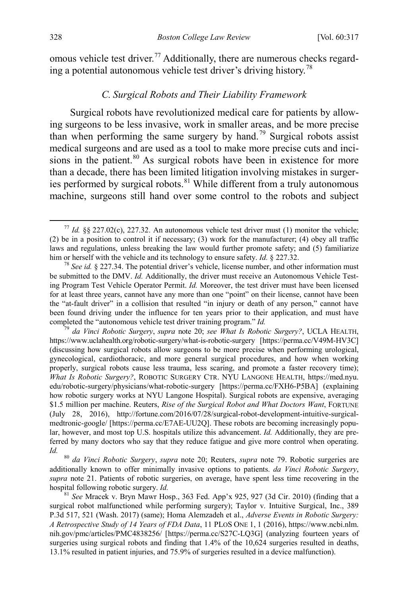omous vehicle test driver.<sup>[77](#page-12-1)</sup> Additionally, there are numerous checks regard-ing a potential autonomous vehicle test driver's driving history.<sup>[78](#page-12-2)</sup>

#### <span id="page-12-6"></span><span id="page-12-0"></span>*C. Surgical Robots and Their Liability Framework*

Surgical robots have revolutionized medical care for patients by allowing surgeons to be less invasive, work in smaller areas, and be more precise than when performing the same surgery by hand.<sup>[79](#page-12-3)</sup> Surgical robots assist medical surgeons and are used as a tool to make more precise cuts and inci-sions in the patient.<sup>[80](#page-12-4)</sup> As surgical robots have been in existence for more than a decade, there has been limited litigation involving mistakes in surger-ies performed by surgical robots.<sup>[81](#page-12-5)</sup> While different from a truly autonomous machine, surgeons still hand over some control to the robots and subject

<span id="page-12-1"></span><sup>&</sup>lt;sup>77</sup> *Id.* §§ 227.02(c), 227.32. An autonomous vehicle test driver must (1) monitor the vehicle; (2) be in a position to control it if necessary; (3) work for the manufacturer; (4) obey all traffic laws and regulations, unless breaking the law would further promote safety; and (5) familiarize him or herself with the vehicle and its technology to ensure safety. *Id.*  $\S 227.32$ .

<span id="page-12-2"></span><sup>&</sup>lt;sup>78</sup> See *id.* § 227.34. The potential driver's vehicle, license number, and other information must be submitted to the DMV. *Id.* Additionally, the driver must receive an Autonomous Vehicle Testing Program Test Vehicle Operator Permit. *Id.* Moreover, the test driver must have been licensed for at least three years, cannot have any more than one "point" on their license, cannot have been the "at-fault driver" in a collision that resulted "in injury or death of any person," cannot have been found driving under the influence for ten years prior to their application, and must have completed the "autonomous vehicle test driver training program."  $Id$ .

<span id="page-12-3"></span><sup>&</sup>lt;sup>79</sup> da Vinci Robotic Surgery, supra note [20;](#page-4-1) see What Is Robotic Surgery?, UCLA HEALTH, https://www.uclahealth.org/robotic-surgery/what-is-robotic-surgery [https://perma.cc/V49M-HV3C] (discussing how surgical robots allow surgeons to be more precise when performing urological, gynecological, cardiothoracic, and more general surgical procedures, and how when working properly, surgical robots cause less trauma, less scaring, and promote a faster recovery time); *What Is Robotic Surgery?*, ROBOTIC SURGERY CTR. NYU LANGONE HEALTH, https://med.nyu. edu/robotic-surgery/physicians/what-robotic-surgery [https://perma.cc/FXH6-P5BA] (explaining how robotic surgery works at NYU Langone Hospital). Surgical robots are expensive, averaging \$1.5 million per machine. Reuters, *Rise of the Surgical Robot and What Doctors Want*, FORTUNE (July 28, 2016), http://fortune.com/2016/07/28/surgical-robot-development-intuitive-surgicalmedtronic-google/ [https://perma.cc/E7AE-UU2Q]. These robots are becoming increasingly popular, however, and most top U.S. hospitals utilize this advancement. *Id.* Additionally, they are preferred by many doctors who say that they reduce fatigue and give more control when operating.

<span id="page-12-4"></span>*Id.* <sup>80</sup> *da Vinci Robotic Surgery*, *supra* note [20;](#page-4-1) Reuters, *supra* note [79.](#page-12-0) Robotic surgeries are additionally known to offer minimally invasive options to patients. *da Vinci Robotic Surgery*, *supra* note 21. Patients of robotic surgeries, on average, have spent less time recovering in the hospital following robotic surgery. *Id.* 81 *See Mracek v. Bryn Mawr Hosp.*, 363 Fed. App'x 925, 927 (3d Cir. 2010) (finding that a

<span id="page-12-5"></span>surgical robot malfunctioned while performing surgery); Taylor v. Intuitive Surgical, Inc., 389 P.3d 517, 521 (Wash. 2017) (same); Homa Alemzadeh et al., *Adverse Events in Robotic Surgery: A Retrospective Study of 14 Years of FDA Data*, 11 PLOS ONE 1, 1 (2016), https://www.ncbi.nlm. nih.gov/pmc/articles/PMC4838256/ [https://perma.cc/S27C-LQ3G] (analyzing fourteen years of surgeries using surgical robots and finding that 1.4% of the 10,624 surgeries resulted in deaths, 13.1% resulted in patient injuries, and 75.9% of surgeries resulted in a device malfunction).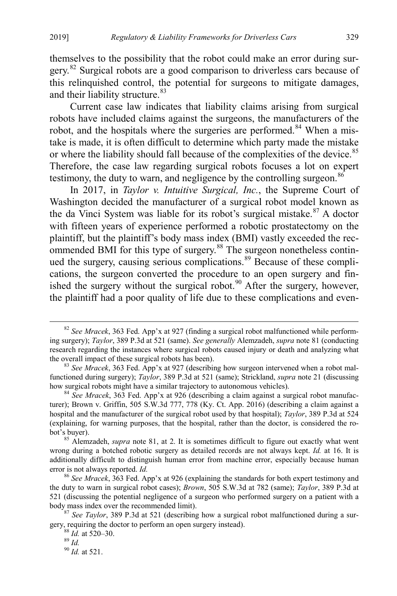themselves to the possibility that the robot could make an error during sur-gery.<sup>[82](#page-13-0)</sup> Surgical robots are a good comparison to driverless cars because of this relinquished control, the potential for surgeons to mitigate damages, and their liability structure.<sup>[83](#page-13-1)</sup>

Current case law indicates that liability claims arising from surgical robots have included claims against the surgeons, the manufacturers of the robot, and the hospitals where the surgeries are performed.<sup>[84](#page-13-2)</sup> When a mistake is made, it is often difficult to determine which party made the mistake or where the liability should fall because of the complexities of the device.<sup>[85](#page-13-3)</sup> Therefore, the case law regarding surgical robots focuses a lot on expert testimony, the duty to warn, and negligence by the controlling surgeon.<sup>[86](#page-13-4)</sup>

In 2017, in *Taylor v. Intuitive Surgical, Inc.*, the Supreme Court of Washington decided the manufacturer of a surgical robot model known as the da Vinci System was liable for its robot's surgical mistake. $87$  A doctor with fifteen years of experience performed a robotic prostatectomy on the plaintiff, but the plaintiff's body mass index (BMI) vastly exceeded the rec-ommended BMI for this type of surgery.<sup>[88](#page-13-6)</sup> The surgeon nonetheless contin-ued the surgery, causing serious complications.<sup>[89](#page-13-7)</sup> Because of these complications, the surgeon converted the procedure to an open surgery and fin-ished the surgery without the surgical robot.<sup>[90](#page-13-8)</sup> After the surgery, however, the plaintiff had a poor quality of life due to these complications and even-

<span id="page-13-0"></span> <sup>82</sup> *See Mracek*, 363 Fed. App'x at 927 (finding a surgical robot malfunctioned while performing surgery); *Taylor*, 389 P.3d at 521 (same). *See generally* Alemzadeh, *supra* not[e 81](#page-12-6) (conducting research regarding the instances where surgical robots caused injury or death and analyzing what the overall impact of these surgical robots has been). <sup>83</sup> *See Mracek*, 363 Fed. App'x at 927 (describing how surgeon intervened when a robot mal-

<span id="page-13-1"></span>functioned during surgery); *Taylor*, 389 P.3d at 521 (same); Strickland, *supra* note [21](#page-4-2) (discussing how surgical robots might have a similar trajectory to autonomous vehicles).

<span id="page-13-2"></span><sup>84</sup> *See Mracek*, 363 Fed. App'x at 926 (describing a claim against a surgical robot manufacturer); Brown v. Griffin, 505 S.W.3d 777, 778 (Ky. Ct. App. 2016) (describing a claim against a hospital and the manufacturer of the surgical robot used by that hospital); *Taylor*, 389 P.3d at 524 (explaining, for warning purposes, that the hospital, rather than the doctor, is considered the robot's buyer). <sup>85</sup> Alemzadeh, *supra* note [81,](#page-12-6) at 2. It is sometimes difficult to figure out exactly what went

<span id="page-13-3"></span>wrong during a botched robotic surgery as detailed records are not always kept. *Id.* at 16. It is additionally difficult to distinguish human error from machine error, especially because human error is not always reported. *Id.* <sup>86</sup> *See Mracek*, 363 Fed. App'x at 926 (explaining the standards for both expert testimony and

<span id="page-13-4"></span>the duty to warn in surgical robot cases); *Brown*, 505 S.W.3d at 782 (same); *Taylor*, 389 P.3d at 521 (discussing the potential negligence of a surgeon who performed surgery on a patient with a body mass index over the recommended limit). <sup>87</sup> *See Taylor*, 389 P.3d at 521 (describing how a surgical robot malfunctioned during a sur-

<span id="page-13-8"></span><span id="page-13-7"></span><span id="page-13-6"></span><span id="page-13-5"></span>gery, requiring the doctor to perform an open surgery instead).<br><sup>88</sup> *Id.* at 520–30.<br><sup>90</sup> *Id.* at 521.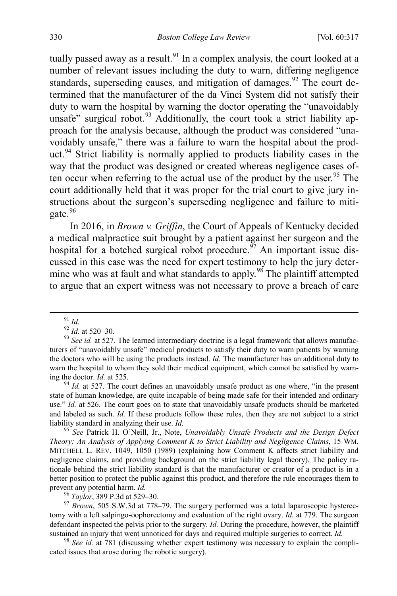tually passed away as a result.<sup>[91](#page-14-0)</sup> In a complex analysis, the court looked at a number of relevant issues including the duty to warn, differing negligence standards, superseding causes, and mitigation of damages.<sup>[92](#page-14-1)</sup> The court determined that the manufacturer of the da Vinci System did not satisfy their duty to warn the hospital by warning the doctor operating the "unavoidably unsafe" surgical robot. $93$  Additionally, the court took a strict liability approach for the analysis because, although the product was considered "unavoidably unsafe," there was a failure to warn the hospital about the prod-uct.<sup>[94](#page-14-3)</sup> Strict liability is normally applied to products liability cases in the way that the product was designed or created whereas negligence cases of-ten occur when referring to the actual use of the product by the user.<sup>[95](#page-14-4)</sup> The court additionally held that it was proper for the trial court to give jury instructions about the surgeon's superseding negligence and failure to miti-gate.<sup>[96](#page-14-5)</sup>

<span id="page-14-8"></span>In 2016, in *Brown v. Griffin*, the Court of Appeals of Kentucky decided a medical malpractice suit brought by a patient against her surgeon and the hospital for a botched surgical robot procedure.<sup>[97](#page-14-6)</sup> An important issue discussed in this case was the need for expert testimony to help the jury deter-mine who was at fault and what standards to apply.<sup>[98](#page-14-7)</sup> The plaintiff attempted to argue that an expert witness was not necessary to prove a breach of care

<span id="page-14-3"></span>state of human knowledge, are quite incapable of being made safe for their intended and ordinary use." *Id.* at 526. The court goes on to state that unavoidably unsafe products should be marketed and labeled as such. *Id.* If these products follow these rules, then they are not subject to a strict liability standard in analyzing their use. *Id.* <sup>95</sup> *See* Patrick H. O'Neill, Jr., Note, *Unavoidably Unsafe Products and the Design Defect* 

<span id="page-14-4"></span>*Theory: An Analysis of Applying Comment K to Strict Liability and Negligence Claims*, 15 WM. MITCHELL L. REV. 1049, 1050 (1989) (explaining how Comment K affects strict liability and negligence claims, and providing background on the strict liability legal theory). The policy rationale behind the strict liability standard is that the manufacturer or creator of a product is in a better position to protect the public against this product, and therefore the rule encourages them to prevent any potential harm. *Id.* 96 *Taylor*, 389 P.3d at 529–30. <br><sup>97</sup> *Brown*, 505 S.W.3d at 778–79. The surgery performed was a total laparoscopic hysterec-<br><sup>97</sup> *Brown*, 505 S.W.3d at 778–79. The surgery performed was

<span id="page-14-6"></span><span id="page-14-5"></span>tomy with a left salpingo-oophorectomy and evaluation of the right ovary. *Id.* at 779. The surgeon defendant inspected the pelvis prior to the surgery. *Id.* During the procedure, however, the plaintiff

<span id="page-14-7"></span>sustained an injury that went unnoticed for days and required multiple surgeries to correct. *Id.* <sup>98</sup> *See id.* at 781 (discussing whether expert testimony was necessary to explain the complicated issues that arose during the robotic surgery).

<span id="page-14-2"></span><span id="page-14-1"></span><span id="page-14-0"></span><sup>91</sup> *Id.*<br><sup>92</sup> *Id.* at 520–30.<br><sup>93</sup> *See id.* at 527. The learned intermediary doctrine is a legal framework that allows manufacturers of "unavoidably unsafe" medical products to satisfy their duty to warn patients by warning the doctors who will be using the products instead. *Id*. The manufacturer has an additional duty to warn the hospital to whom they sold their medical equipment, which cannot be satisfied by warning the doctor. *Id.* at 525.<br><sup>94</sup> *Id.* at 527. The court defines an unavoidably unsafe product as one where, "in the present"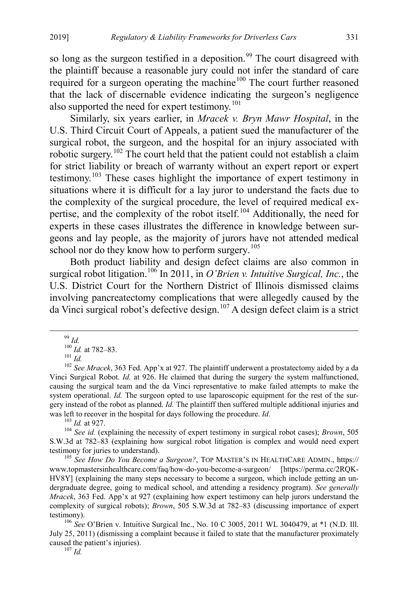so long as the surgeon testified in a deposition.<sup>[99](#page-15-0)</sup> The court disagreed with the plaintiff because a reasonable jury could not infer the standard of care required for a surgeon operating the machine<sup>[100](#page-15-1)</sup> The court further reasoned that the lack of discernable evidence indicating the surgeon's negligence also supported the need for expert testimony.<sup>[101](#page-15-2)</sup>

Similarly, six years earlier, in *Mracek v. Bryn Mawr Hospital*, in the U.S. Third Circuit Court of Appeals, a patient sued the manufacturer of the surgical robot, the surgeon, and the hospital for an injury associated with robotic surgery.<sup>[102](#page-15-3)</sup> The court held that the patient could not establish a claim for strict liability or breach of warranty without an expert report or expert testimony.[103](#page-15-4) These cases highlight the importance of expert testimony in situations where it is difficult for a lay juror to understand the facts due to the complexity of the surgical procedure, the level of required medical ex-pertise, and the complexity of the robot itself.<sup>[104](#page-15-5)</sup> Additionally, the need for experts in these cases illustrates the difference in knowledge between surgeons and lay people, as the majority of jurors have not attended medical school nor do they know how to perform surgery.<sup>[105](#page-15-6)</sup>

<span id="page-15-9"></span>Both product liability and design defect claims are also common in surgical robot litigation.<sup>106</sup> In 2011, in *O'Brien v. Intuitive Surgical, Inc.*, the U.S. District Court for the Northern District of Illinois dismissed claims involving pancreatectomy complications that were allegedly caused by the da Vinci surgical robot's defective design.[107](#page-15-8) A design defect claim is a strict

<span id="page-15-3"></span><span id="page-15-2"></span><span id="page-15-1"></span><span id="page-15-0"></span><sup>&</sup>lt;sup>99</sup> *Id.*<br><sup>100</sup> *Id.* at 782–83.<br><sup>101</sup> *Id.* 102 *See Mracek*, 363 Fed. App'x at 927. The plaintiff underwent a prostatectomy aided by a da Vinci Surgical Robot. *Id.* at 926. He claimed that during the surgery the system malfunctioned, causing the surgical team and the da Vinci representative to make failed attempts to make the system operational. *Id*. The surgeon opted to use laparoscopic equipment for the rest of the surgery instead of the robot as planned. *Id.* The plaintiff then suffered multiple additional injuries and was left to recover in the hospital for days following the procedure. *Id.* <sup>103</sup> *Id.* at 927. <sup>104</sup> *See id.* (explaining the necessity of expert testimony in surgical robot cases); *Brown*, 505

<span id="page-15-5"></span><span id="page-15-4"></span>S.W.3d at 782–83 (explaining how surgical robot litigation is complex and would need expert testimony for juries to understand).<br><sup>105</sup> *See How Do You Become a Surgeon?*, TOP MASTER'S IN HEALTHCARE ADMIN., https://

<span id="page-15-6"></span>www.topmastersinhealthcare.com/faq/how-do-you-become-a-surgeon/ [https://perma.cc/2RQK-HV8Y] (explaining the many steps necessary to become a surgeon, which include getting an undergraduate degree, going to medical school, and attending a residency program). *See generally Mracek*, 363 Fed. App'x at 927 (explaining how expert testimony can help jurors understand the complexity of surgical robots); *Brown*, 505 S.W.3d at 782–83 (discussing importance of expert testimony). <sup>106</sup> *See* O'Brien v. Intuitive Surgical Inc., No. 10 C 3005, 2011 WL 3040479, at \*1 (N.D. Ill.

<span id="page-15-8"></span><span id="page-15-7"></span>July 25, 2011) (dismissing a complaint because it failed to state that the manufacturer proximately caused the patient's injuries). <sup>107</sup> *Id.*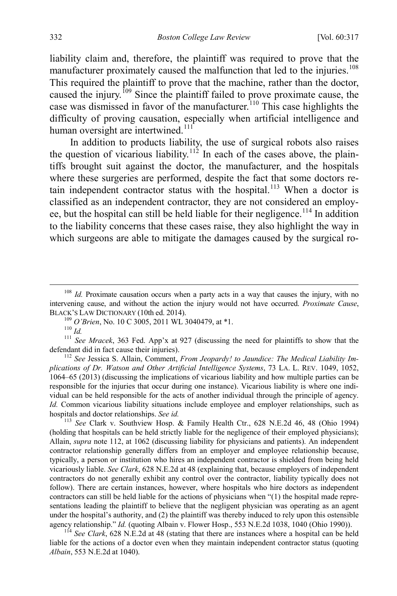liability claim and, therefore, the plaintiff was required to prove that the manufacturer proximately caused the malfunction that led to the injuries.<sup>[108](#page-16-1)</sup> This required the plaintiff to prove that the machine, rather than the doctor, caused the injury.<sup>[109](#page-16-2)</sup> Since the plaintiff failed to prove proximate cause, the case was dismissed in favor of the manufacturer.<sup>[110](#page-16-3)</sup> This case highlights the difficulty of proving causation, especially when artificial intelligence and human oversight are intertwined.<sup>[111](#page-16-4)</sup>

<span id="page-16-0"></span>In addition to products liability, the use of surgical robots also raises the question of vicarious liability.<sup>[112](#page-16-5)</sup> In each of the cases above, the plaintiffs brought suit against the doctor, the manufacturer, and the hospitals where these surgeries are performed, despite the fact that some doctors re-tain independent contractor status with the hospital.<sup>[113](#page-16-6)</sup> When a doctor is classified as an independent contractor, they are not considered an employ-ee, but the hospital can still be held liable for their negligence.<sup>[114](#page-16-7)</sup> In addition to the liability concerns that these cases raise, they also highlight the way in which surgeons are able to mitigate the damages caused by the surgical ro-

<span id="page-16-5"></span>*plications of Dr. Watson and Other Artificial Intelligence Systems*, 73 LA. L. REV. 1049, 1052, 1064–65 (2013) (discussing the implications of vicarious liability and how multiple parties can be responsible for the injuries that occur during one instance). Vicarious liability is where one individual can be held responsible for the acts of another individual through the principle of agency. *Id.* Common vicarious liability situations include employee and employer relationships, such as hospitals and doctor relationships. *See id.* 

<span id="page-16-6"></span><sup>113</sup> *See* Clark v. Southview Hosp. & Family Health Ctr., 628 N.E.2d 46, 48 (Ohio 1994) (holding that hospitals can be held strictly liable for the negligence of their employed physicians); Allain, *supra* note [112,](#page-16-0) at 1062 (discussing liability for physicians and patients). An independent contractor relationship generally differs from an employer and employee relationship because, typically, a person or institution who hires an independent contractor is shielded from being held vicariously liable. *See Clark*, 628 N.E.2d at 48 (explaining that, because employers of independent contractors do not generally exhibit any control over the contractor, liability typically does not follow). There are certain instances, however, where hospitals who hire doctors as independent contractors can still be held liable for the actions of physicians when "(1) the hospital made representations leading the plaintiff to believe that the negligent physician was operating as an agent under the hospital's authority, and  $(2)$  the plaintiff was thereby induced to rely upon this ostensible agency relationship." *Id.* (quoting Albain v. Flower Hosp., 553 N.E.2d 1038, 1040 (Ohio 1990)).

<span id="page-16-7"></span> $114$  *See Clark*, 628 N.E.2d at 48 (stating that there are instances where a hospital can be held liable for the actions of a doctor even when they maintain independent contractor status (quoting *Albain*, 553 N.E.2d at 1040).

<span id="page-16-1"></span><sup>&</sup>lt;sup>108</sup> *Id.* Proximate causation occurs when a party acts in a way that causes the injury, with no intervening cause, and without the action the injury would not have occurred. *Proximate Cause*,

<span id="page-16-4"></span><span id="page-16-3"></span><span id="page-16-2"></span><sup>&</sup>lt;sup>109</sup> *O'Brien*, No. 10 C 3005, 2011 WL 3040479, at \*1.<br><sup>110</sup> *Id. Id. III See Mracek*, 363 Fed. App'x at 927 (discussing the need for plaintiffs to show that the defendant did in fact cause their injuries).<br><sup>112</sup> *See* Jessica S. Allain, Comment, *From Jeopardy! to Jaundice: The Medical Liability Im-*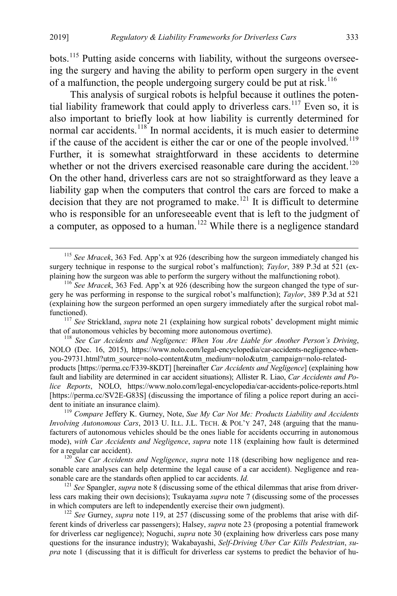bots.<sup>[115](#page-17-2)</sup> Putting aside concerns with liability, without the surgeons overseeing the surgery and having the ability to perform open surgery in the event of a malfunction, the people undergoing surgery could be put at risk.<sup>[116](#page-17-3)</sup>

<span id="page-17-1"></span><span id="page-17-0"></span>This analysis of surgical robots is helpful because it outlines the poten-tial liability framework that could apply to driverless cars.<sup>[117](#page-17-4)</sup> Even so, it is also important to briefly look at how liability is currently determined for normal car accidents.<sup>[118](#page-17-5)</sup> In normal accidents, it is much easier to determine if the cause of the accident is either the car or one of the people involved.<sup>[119](#page-17-6)</sup> Further, it is somewhat straightforward in these accidents to determine whether or not the drivers exercised reasonable care during the accident.<sup>[120](#page-17-7)</sup> On the other hand, driverless cars are not so straightforward as they leave a liability gap when the computers that control the cars are forced to make a decision that they are not programed to make.<sup>[121](#page-17-8)</sup> It is difficult to determine who is responsible for an unforeseeable event that is left to the judgment of a computer, as opposed to a human.<sup>[122](#page-17-9)</sup> While there is a negligence standard

<span id="page-17-6"></span>*Involving Autonomous Cars*, 2013 U. ILL. J.L. TECH. & POL'Y 247, 248 (arguing that the manufacturers of autonomous vehicles should be the ones liable for accidents occurring in autonomous mode), *with Car Accidents and Negligence*, *supra* note [118](#page-17-0) (explaining how fault is determined for a regular car accident).<br><sup>120</sup> *See Car Accidents and Negligence*, *supra* note [118](#page-17-0) (describing how negligence and rea-

<span id="page-17-8"></span> $I<sup>121</sup>$  *See* Spangler, *supra* note [8](#page-2-1) (discussing some of the ethical dilemmas that arise from driverless cars making their own decisions); Tsukayama *supra* note [7](#page-2-0) (discussing some of the processes

<span id="page-17-9"></span> $\frac{122}{2}$  *See* Gurney, *supra* note [119,](#page-17-1) at 257 (discussing some of the problems that arise with different kinds of driverless car passengers); Halsey, *supra* note [23](#page-4-8) (proposing a potential framework for driverless car negligence); Noguchi, *supra* note [30](#page-5-8) (explaining how driverless cars pose many questions for the insurance industry); Wakabayashi, *Self-Driving Uber Car Kills Pedestrian*, *supra* note [1](#page-1-0) (discussing that it is difficult for driverless car systems to predict the behavior of hu-

<span id="page-17-2"></span> <sup>115</sup> *See Mracek*, 363 Fed. App'x at 926 (describing how the surgeon immediately changed his surgery technique in response to the surgical robot's malfunction); *Taylor*, 389 P.3d at 521 (ex-<br>plaining how the surgeon was able to perform the surgery without the malfunctioning robot).

<span id="page-17-3"></span><sup>&</sup>lt;sup>116</sup> *See Mracek*, 363 Fed. App'x at 926 (describing how the surgeon changed the type of surgery he was performing in response to the surgical robot's malfunction); *Taylor*, 389 P.3d at 521 (explaining how the surgeon performed an open surgery immediately after the surgical robot mal-

<span id="page-17-4"></span>functioned).<br><sup>117</sup> *See* Strickland, *supra* note [21](#page-4-2) (explaining how surgical robots' development might mimic<br>that of autonomous vehicles by becoming more autonomous overtime).

<span id="page-17-5"></span><sup>&</sup>lt;sup>118</sup> See Car Accidents and Negligence: When You Are Liable for Another Person's Driving, NOLO (Dec. 16, 2015), https://www.nolo.com/legal-encyclopedia/car-accidents-negligence-whenyou-29731.html?utm\_source=nolo-content&utm\_medium=nolo&utm\_campaign=nolo-related-

products [https://perma.cc/F339-8KDT] [hereinafter *Car Accidents and Negligence*] (explaining how fault and liability are determined in car accident situations); Allister R. Liao, *Car Accidents and Police Reports*, NOLO, https://www.nolo.com/legal-encyclopedia/car-accidents-police-reports.html [https://perma.cc/SV2E-G83S] (discussing the importance of filing a police report during an accident to initiate an insurance claim). <sup>119</sup> *Compare* Jeffery K. Gurney, Note, *Sue My Car Not Me: Products Liability and Accidents* 

<span id="page-17-7"></span>sonable care analyses can help determine the legal cause of a car accident). Negligence and rea-<br>sonable care are the standards often applied to car accidents. *Id*.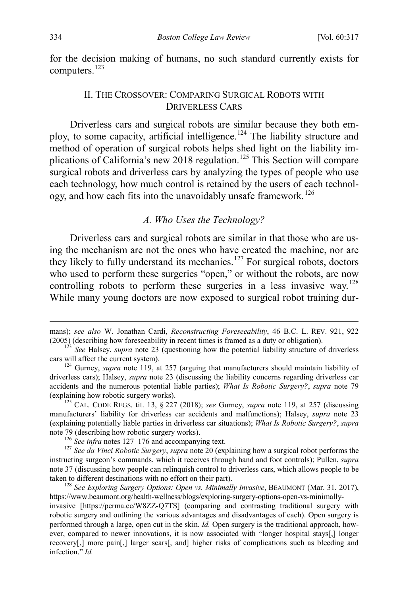for the decision making of humans, no such standard currently exists for computers.<sup>[123](#page-18-3)</sup>

#### <span id="page-18-0"></span>II. THE CROSSOVER: COMPARING SURGICAL ROBOTS WITH DRIVERLESS CARS

Driverless cars and surgical robots are similar because they both em-ploy, to some capacity, artificial intelligence.<sup>[124](#page-18-4)</sup> The liability structure and method of operation of surgical robots helps shed light on the liability im-plications of California's new 2018 regulation.<sup>[125](#page-18-5)</sup> This Section will compare surgical robots and driverless cars by analyzing the types of people who use each technology, how much control is retained by the users of each technol-ogy, and how each fits into the unavoidably unsafe framework.<sup>[126](#page-18-6)</sup>

<span id="page-18-2"></span><span id="page-18-1"></span>*A. Who Uses the Technology?* 

Driverless cars and surgical robots are similar in that those who are using the mechanism are not the ones who have created the machine, nor are they likely to fully understand its mechanics.<sup>[127](#page-18-7)</sup> For surgical robots, doctors who used to perform these surgeries "open," or without the robots, are now controlling robots to perform these surgeries in a less invasive way.<sup>[128](#page-18-8)</sup> While many young doctors are now exposed to surgical robot training dur-

mans); *see also* W. Jonathan Cardi, *Reconstructing Foreseeability*, 46 B.C. L. REV. 921, <sup>922</sup>

<span id="page-18-3"></span><sup>(2005) (</sup>describing how foreseeability in recent times is framed as a duty or obligation).<br><sup>123</sup> *See* Halsey, *supra* note [23](#page-4-8) (questioning how the potential liability structure of driverless cars will affect the current sy

<span id="page-18-4"></span> $^{124}$  Gurney, *supra* note [119,](#page-17-1) at 257 (arguing that manufacturers should maintain liability of driverless cars); Halsey, *supra* note [23](#page-4-8) (discussing the liability concerns regarding driverless car accidents and the numerous potential liable parties); *What Is Robotic Surgery?*, *supra* note [79](#page-12-0)

<span id="page-18-5"></span><sup>&</sup>lt;sup>125</sup> CAL. CODE REGS. tit. 13, § 227 (2018); *see* Gurney, *supra* note [119,](#page-17-1) at 257 (discussing manufacturers' liability for driverless car accidents and malfunctions); Halsey, *supra* note [23](#page-4-8) (explaining potentially liable parties in driverless car situations); *What Is Robotic Surgery?*, *supra* note [79](#page-12-0) (describing how robotic surgery works).<br><sup>126</sup> *See infra* notes [127–](#page-18-2)[176](#page-24-0) and accompanying text.<br><sup>127</sup> *See da Vinci Robotic Surgery, supra* not[e 20](#page-4-1) (explaining how a surgical robot performs the

<span id="page-18-7"></span><span id="page-18-6"></span>instructing surgeon's commands, which it receives through hand and foot controls); Pullen, *supra* note [37](#page-7-9) (discussing how people can relinquish control to driverless cars, which allows people to be taken to different destinations with no effort on their part). 128 *See Exploring Surgery Options: Open vs. Minimally Invasive*, BEAUMONT (Mar. 31, 2017),

<span id="page-18-8"></span>https://www.beaumont.org/health-wellness/blogs/exploring-surgery-options-open-vs-minimally-

invasive [https://perma.cc/W8ZZ-Q7TS] (comparing and contrasting traditional surgery with robotic surgery and outlining the various advantages and disadvantages of each). Open surgery is performed through a large, open cut in the skin. *Id.* Open surgery is the traditional approach, however, compared to newer innovations, it is now associated with "longer hospital stays[,] longer recovery[,] more pain[,] larger scars[, and] higher risks of complications such as bleeding and infection." *Id.*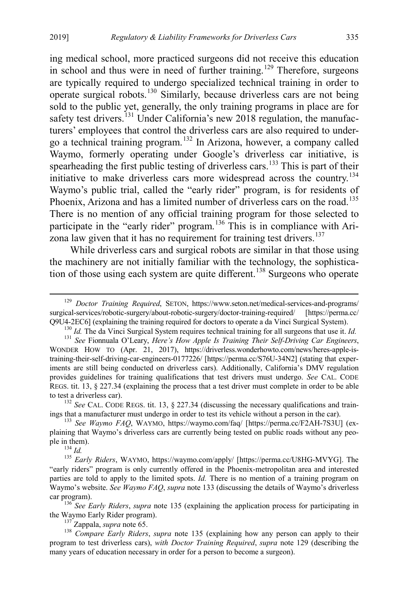<span id="page-19-2"></span>ing medical school, more practiced surgeons did not receive this education in school and thus were in need of further training.<sup>[129](#page-19-3)</sup> Therefore, surgeons are typically required to undergo specialized technical training in order to operate surgical robots.[130](#page-19-4) Similarly, because driverless cars are not being sold to the public yet, generally, the only training programs in place are for safety test drivers.<sup>[131](#page-19-5)</sup> Under California's new 2018 regulation, the manufacturers' employees that control the driverless cars are also required to undergo a technical training program.[132](#page-19-6) In Arizona, however, a company called Waymo, formerly operating under Google's driverless car initiative, is spearheading the first public testing of driverless cars.<sup>[133](#page-19-7)</sup> This is part of their initiative to make driverless cars more widespread across the country.[134](#page-19-8) Waymo's public trial, called the "early rider" program, is for residents of Phoenix, Arizona and has a limited number of driverless cars on the road.<sup>[135](#page-19-9)</sup> There is no mention of any official training program for those selected to participate in the "early rider" program.<sup>[136](#page-19-10)</sup> This is in compliance with Ari-zona law given that it has no requirement for training test drivers.<sup>[137](#page-19-11)</sup>

<span id="page-19-13"></span><span id="page-19-1"></span><span id="page-19-0"></span>While driverless cars and surgical robots are similar in that those using the machinery are not initially familiar with the technology, the sophistica-tion of those using each system are quite different.<sup>[138](#page-19-12)</sup> Surgeons who operate

<span id="page-19-6"></span>to test a driverless car).<br><sup>132</sup> *See* CAL. CODE REGS. tit. 13, § 227.34 (discussing the necessary qualifications and train-<br>ings that a manufacturer must undergo in order to test its vehicle without a person in the car).

<span id="page-19-7"></span><sup>133</sup> See Waymo FAQ, WAYMO, https://waymo.com/faq/ [https://perma.cc/F2AH-7S3U] (explaining that Waymo's driverless cars are currently being tested on public roads without any people in them). <sup>134</sup> *Id.* <sup>135</sup> *Early Riders*, WAYMO, https://waymo.com/apply/ [https://perma.cc/U8HG-MVYG]. The

<span id="page-19-9"></span><span id="page-19-8"></span>"early riders" program is only currently offered in the Phoenix-metropolitan area and interested parties are told to apply to the limited spots. *Id.* There is no mention of a training program on Waymo's website. *See Waymo FAQ*, *supra* not[e 133](#page-19-0) (discussing the details of Waymo's driverless

<span id="page-19-10"></span>car program). <sup>136</sup> *See Early Riders*, *supra* note [135](#page-19-1) (explaining the application process for participating in the Waymo Early Rider program).

<span id="page-19-12"></span><span id="page-19-11"></span><sup>137</sup> Zappala, *supra* not[e 65.](#page-10-0) 138 *Compare Early Riders*, *supra* note [135](#page-19-1) (explaining how any person can apply to their program to test driverless cars), *with Doctor Training Required*, *supra* note [129](#page-19-2) (describing the many years of education necessary in order for a person to become a surgeon).

<span id="page-19-3"></span> <sup>129</sup> *Doctor Training Required*, SETON, https://www.seton.net/medical-services-and-programs/ surgical-services/robotic-surgery/about-robotic-surgery/doctor-training-required/ [https://perma.cc/

<span id="page-19-5"></span><span id="page-19-4"></span>Q9U4-2EC6] (explaining the training required for doctors to operate a da Vinci Surgical System).<br><sup>130</sup> *Id*. The da Vinci Surgical System requires technical training for all surgeons that use it. *Id*.<br><sup>131</sup> *See* Fionnual WONDER HOW TO (Apr. 21, 2017), https://driverless.wonderhowto.com/news/heres-apple-istraining-their-self-driving-car-engineers-0177226/ [https://perma.cc/S76U-34N2] (stating that experiments are still being conducted on driverless cars). Additionally, California's DMV regulation provides guidelines for training qualifications that test drivers must undergo. *See* CAL. CODE REGS. tit. 13, § 227.34 (explaining the process that a test driver must complete in order to be able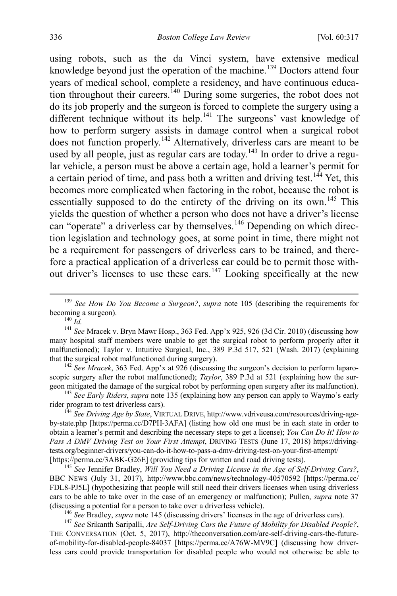using robots, such as the da Vinci system, have extensive medical knowledge beyond just the operation of the machine.<sup>[139](#page-20-1)</sup> Doctors attend four years of medical school, complete a residency, and have continuous educa-tion throughout their careers.<sup>[140](#page-20-2)</sup> During some surgeries, the robot does not do its job properly and the surgeon is forced to complete the surgery using a different technique without its help.<sup>[141](#page-20-3)</sup> The surgeons' vast knowledge of how to perform surgery assists in damage control when a surgical robot does not function properly.[142](#page-20-4) Alternatively, driverless cars are meant to be used by all people, just as regular cars are today.<sup>[143](#page-20-5)</sup> In order to drive a regular vehicle, a person must be above a certain age, hold a learner's permit for a certain period of time, and pass both a written and driving test.<sup>[144](#page-20-6)</sup> Yet, this becomes more complicated when factoring in the robot, because the robot is essentially supposed to do the entirety of the driving on its own.<sup>[145](#page-20-7)</sup> This yields the question of whether a person who does not have a driver's license can "operate" a driverless car by themselves.<sup>[146](#page-20-8)</sup> Depending on which direction legislation and technology goes, at some point in time, there might not be a requirement for passengers of driverless cars to be trained, and therefore a practical application of a driverless car could be to permit those with-out driver's licenses to use these cars.<sup>[147](#page-20-9)</sup> Looking specifically at the new

<span id="page-20-10"></span><span id="page-20-0"></span>

<span id="page-20-3"></span><span id="page-20-2"></span>many hospital staff members were unable to get the surgical robot to perform properly after it malfunctioned); Taylor v. Intuitive Surgical, Inc., 389 P.3d 517, 521 (Wash. 2017) (explaining that the surgical robot malfunctioned during surgery). <sup>142</sup> *See Mracek*, 363 Fed. App'x at 926 (discussing the surgeon's decision to perform laparo-

<span id="page-20-4"></span>scopic surgery after the robot malfunctioned); *Taylor*, 389 P.3d at 521 (explaining how the surgeon mitigated the damage of the surgical robot by performing open surgery after its malfunction). <sup>143</sup> *See Early Riders*, *supra* note [135](#page-19-1) (explaining how any person can apply to Waymo's early

<span id="page-20-5"></span>rider program to test driverless cars).<br><sup>144</sup> *See Driving Age by State*, VIRTUAL DRIVE, http://www.vdriveusa.com/resources/driving-age-

<span id="page-20-6"></span>by-state.php [https://perma.cc/D7PH-3AFA] (listing how old one must be in each state in order to obtain a learner's permit and describing the necessary steps to get a license); *You Can Do It! How to Pass A DMV Driving Test on Your First Attempt*, DRIVING TESTS (June 17, 2018) https://drivingtests.org/beginner-drivers/you-can-do-it-how-to-pass-a-dmv-driving-test-on-your-first-attempt/

<span id="page-20-7"></span><sup>145</sup> See Jennifer Bradley, *Will You Need a Driving License in the Age of Self-Driving Cars?*, BBC NEWS (July 31, 2017), http://www.bbc.com/news/technology-40570592 [https://perma.cc/ FDL8-PJ5L] (hypothesizing that people will still need their drivers licenses when using driverless cars to be able to take over in the case of an emergency or malfunction); Pullen, *supra* note [37](#page-7-9) (discussing a potential for a person to take over a driverless vehicle).<br><sup>146</sup> See Bradley, *supra* not[e 145](#page-20-0) (discussing drivers' licenses in the age of driverless cars).<br><sup>147</sup> See Srikanth Saripalli, *Are Self-Driving Ca* 

<span id="page-20-9"></span><span id="page-20-8"></span>THE CONVERSATION (Oct. 5, 2017), http://theconversation.com/are-self-driving-cars-the-futureof-mobility-for-disabled-people-84037 [https://perma.cc/A76W-MV9C] (discussing how driverless cars could provide transportation for disabled people who would not otherwise be able to

<span id="page-20-1"></span> <sup>139</sup> *See How Do You Become a Surgeon?*, *supra* note [105](#page-15-9) (describing the requirements for becoming a surgeon).<br><sup>140</sup> *Id. Id. Id. In Idee* Mracek v. Bryn Mawr Hosp., 363 Fed. App'x 925, 926 (3d Cir. 2010) (discussing how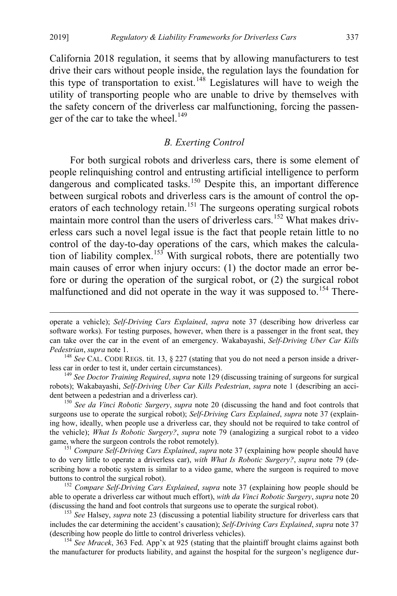California 2018 regulation, it seems that by allowing manufacturers to test drive their cars without people inside, the regulation lays the foundation for this type of transportation to exist.<sup>[148](#page-21-0)</sup> Legislatures will have to weigh the utility of transporting people who are unable to drive by themselves with the safety concern of the driverless car malfunctioning, forcing the passen-ger of the car to take the wheel.<sup>[149](#page-21-1)</sup>

#### *B. Exerting Control*

For both surgical robots and driverless cars, there is some element of people relinquishing control and entrusting artificial intelligence to perform dangerous and complicated tasks.<sup>[150](#page-21-2)</sup> Despite this, an important difference between surgical robots and driverless cars is the amount of control the op-erators of each technology retain.<sup>[151](#page-21-3)</sup> The surgeons operating surgical robots maintain more control than the users of driverless cars.<sup>[152](#page-21-4)</sup> What makes driverless cars such a novel legal issue is the fact that people retain little to no control of the day-to-day operations of the cars, which makes the calcula-tion of liability complex.<sup>[153](#page-21-5)</sup> With surgical robots, there are potentially two main causes of error when injury occurs: (1) the doctor made an error before or during the operation of the surgical robot, or (2) the surgical robot malfunctioned and did not operate in the way it was supposed to.<sup>154</sup> There-

<span id="page-21-6"></span>the manufacturer for products liability, and against the hospital for the surgeon's negligence dur-

operate a vehicle); *Self-Driving Cars Explained*, *supra* note [37](#page-7-9) (describing how driverless car software works). For testing purposes, however, when there is a passenger in the front seat, they can take over the car in the event of an emergency. Wakabayashi, *Self-Driving Uber Car Kills* 

<span id="page-21-0"></span>*Pedestrian, <i>supra* not[e 1.](#page-1-0)<br><sup>148</sup> *See* CAL. CODE REGS. tit. 13, § 227 (stating that you do not need a person inside a driver-<br>less car in order to test it, under certain circumstances).

<span id="page-21-1"></span><sup>&</sup>lt;sup>149</sup> See Doctor Training Required, supra note [129](#page-19-2) (discussing training of surgeons for surgical robots); Wakabayashi, *Self-Driving Uber Car Kills Pedestrian*, *supra* note [1](#page-1-0) (describing an accident between a pedestrian and a driverless car). <sup>150</sup> *See da Vinci Robotic Surgery*, *supra* note [20](#page-4-1) (discussing the hand and foot controls that

<span id="page-21-2"></span>surgeons use to operate the surgical robot); *Self-Driving Cars Explained*, *supra* note [37](#page-7-9) (explaining how, ideally, when people use a driverless car, they should not be required to take control of the vehicle); *What Is Robotic Surgery?*, *supra* note [79](#page-12-0) (analogizing a surgical robot to a video game, where the surgeon controls the robot remotely). <sup>151</sup> *Compare Self-Driving Cars Explained*, *supra* not[e 37](#page-7-9) (explaining how people should have

<span id="page-21-3"></span>to do very little to operate a driverless car), *with What Is Robotic Surgery?*, *supra* note [79](#page-12-0) (describing how a robotic system is similar to a video game, where the surgeon is required to move buttons to control the surgical robot). <sup>152</sup> *Compare Self-Driving Cars Explained*, *supra* note [37](#page-7-9) (explaining how people should be

<span id="page-21-4"></span>able to operate a driverless car without much effort), *with da Vinci Robotic Surgery*, *supra* note [20](#page-4-1)

<span id="page-21-5"></span><sup>&</sup>lt;sup>153</sup> See Halsey, *supra* note [23](#page-4-8) (discussing a potential liability structure for driverless cars that includes the car determining the accident's causation); *Self-Driving Cars Explained*, *supra* note [37](#page-7-9) (describing how people do little to control driverless vehicles). <sup>154</sup> *See Mracek*, 363 Fed. App'x at 925 (stating that the plaintiff brought claims against both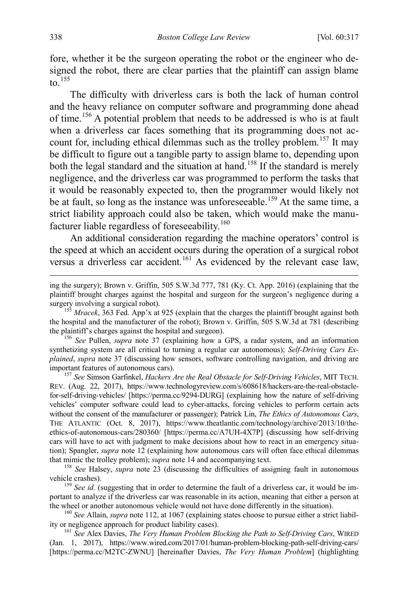fore, whether it be the surgeon operating the robot or the engineer who designed the robot, there are clear parties that the plaintiff can assign blame to.  $155$ 

The difficulty with driverless cars is both the lack of human control and the heavy reliance on computer software and programming done ahead of time.[156](#page-22-1) A potential problem that needs to be addressed is who is at fault when a driverless car faces something that its programming does not ac-count for, including ethical dilemmas such as the trolley problem.<sup>[157](#page-22-2)</sup> It may be difficult to figure out a tangible party to assign blame to, depending upon both the legal standard and the situation at hand.<sup>[158](#page-22-3)</sup> If the standard is merely negligence, and the driverless car was programmed to perform the tasks that it would be reasonably expected to, then the programmer would likely not be at fault, so long as the instance was unforeseeable.<sup>[159](#page-22-4)</sup> At the same time, a strict liability approach could also be taken, which would make the manu-facturer liable regardless of foreseeability.<sup>[160](#page-22-5)</sup>

An additional consideration regarding the machine operators' control is the speed at which an accident occurs during the operation of a surgical robot versus a driverless car accident.<sup>[161](#page-22-6)</sup> As evidenced by the relevant case law,

<span id="page-22-1"></span>synthetizing system are all critical to turning a regular car autonomous); *Self-Driving Cars Explained*, *supra* note [37](#page-7-9) (discussing how sensors, software controlling navigation, and driving are important features of autonomous cars). <sup>157</sup> *See* Simson Garfinkel, *Hackers Are the Real Obstacle for Self-Driving Vehicles*, MIT TECH.

<span id="page-22-2"></span>REV. (Aug. 22, 2017), https://www.technologyreview.com/s/608618/hackers-are-the-real-obstaclefor-self-driving-vehicles/ [https://perma.cc/9294-DURG] (explaining how the nature of self-driving vehicles' computer software could lead to cyber-attacks, forcing vehicles to perform certain acts without the consent of the manufacturer or passenger); Patrick Lin, *The Ethics of Autonomous Cars*, THE ATLANTIC (Oct. 8, 2017), https://www.theatlantic.com/technology/archive/2013/10/theethics-of-autonomous-cars/280360/ [https://perma.cc/A7UH-4X7P] (discussing how self-driving cars will have to act with judgment to make decisions about how to react in an emergency situation); Spangler, *supra* note [12](#page-2-10) (explaining how autonomous cars will often face ethical dilemmas that mimic the trolley problem); *supra* not[e 14](#page-3-1) and accompanying text.<br><sup>158</sup> *See* Halsey, *supra* note [23](#page-4-8) (discussing the difficulties of assigning fault in autonomous

<span id="page-22-3"></span>vehicle crashes). <sup>159</sup> *See id.* (suggesting that in order to determine the fault of a driverless car, it would be im-

<span id="page-22-4"></span>portant to analyze if the driverless car was reasonable in its action, meaning that either a person at

<span id="page-22-5"></span>the wheel or another autonomous vehicle would not have done differently in the situation).<br><sup>160</sup> *See* Allain, *supra* note [112,](#page-16-0) at 1067 (explaining states choose to pursue either a strict liabil-<br>ity or negligence approac

<span id="page-22-6"></span><sup>161</sup> See Alex Davies, *The Very Human Problem Blocking the Path to Self-Driving Cars*, WIRED (Jan. 1, 2017), https://www.wired.com/2017/01/human-problem-blocking-path-self-driving-cars/ [https://perma.cc/M2TC-ZWNU] [hereinafter Davies, *The Very Human Problem*] (highlighting

<span id="page-22-7"></span>ing the surgery); Brown v. Griffin, 505 S.W.3d 777, 781 (Ky. Ct. App. 2016) (explaining that the plaintiff brought charges against the hospital and surgeon for the surgeon's negligence during a surgery involving a surgical robot).<br><sup>155</sup> *Mracek*, 363 Fed. App'x at 925 (explain that the charges the plaintiff brought against both

<span id="page-22-0"></span>the hospital and the manufacturer of the robot); Brown v. Griffin, 505 S.W.3d at 781 (describing the plaintiff's charges against the hospital and surgeon). <sup>156</sup> *See* Pullen, *supra* note [37](#page-7-9) (explaining how a GPS, a radar system, and an information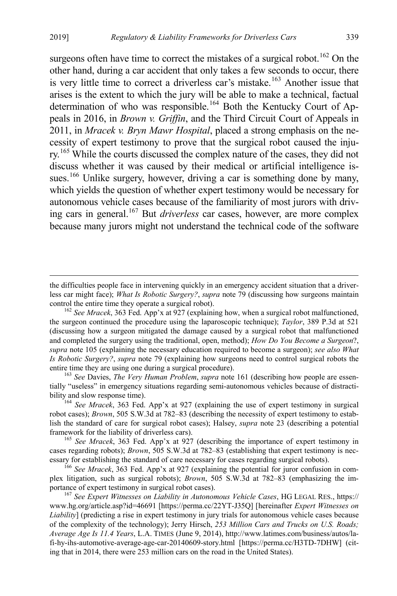surgeons often have time to correct the mistakes of a surgical robot.<sup>[162](#page-23-0)</sup> On the other hand, during a car accident that only takes a few seconds to occur, there is very little time to correct a driverless car's mistake.<sup>[163](#page-23-1)</sup> Another issue that arises is the extent to which the jury will be able to make a technical, factual determination of who was responsible.<sup>[164](#page-23-2)</sup> Both the Kentucky Court of Appeals in 2016, in *Brown v. Griffin*, and the Third Circuit Court of Appeals in 2011, in *Mracek v. Bryn Mawr Hospital*, placed a strong emphasis on the necessity of expert testimony to prove that the surgical robot caused the inju-ry.<sup>[165](#page-23-3)</sup> While the courts discussed the complex nature of the cases, they did not discuss whether it was caused by their medical or artificial intelligence is-sues.<sup>[166](#page-23-4)</sup> Unlike surgery, however, driving a car is something done by many, which yields the question of whether expert testimony would be necessary for autonomous vehicle cases because of the familiarity of most jurors with driving cars in general.[167](#page-23-5) But *driverless* car cases, however, are more complex because many jurors might not understand the technical code of the software

<span id="page-23-6"></span>the difficulties people face in intervening quickly in an emergency accident situation that a driverless car might face); *What Is Robotic Surgery?*, *supra* note [79](#page-12-0) (discussing how surgeons maintain

<span id="page-23-0"></span><sup>&</sup>lt;sup>162</sup> See *Mracek*, 363 Fed. App'x at 927 (explaining how, when a surgical robot malfunctioned, the surgeon continued the procedure using the laparoscopic technique); *Taylor*, 389 P.3d at 521 (discussing how a surgeon mitigated the damage caused by a surgical robot that malfunctioned and completed the surgery using the traditional, open, method); *How Do You Become a Surgeon*?, *supra* note [105](#page-15-9) (explaining the necessary education required to become a surgeon); *see also What Is Robotic Surgery?*, *supra* note [79](#page-12-0) (explaining how surgeons need to control surgical robots the entire time they are using one during a surgical procedure). <sup>163</sup> *See* Davies, *The Very Human Problem*, *supra* not[e 161](#page-22-7) (describing how people are essen-

<span id="page-23-1"></span>tially "useless" in emergency situations regarding semi-autonomous vehicles because of distractibility and slow response time). <sup>164</sup> *See Mracek*, 363 Fed. App'x at 927 (explaining the use of expert testimony in surgical

<span id="page-23-2"></span>robot cases); *Brown*, 505 S.W.3d at 782–83 (describing the necessity of expert testimony to establish the standard of care for surgical robot cases); Halsey, *supra* note [23](#page-4-8) (describing a potential framework for the liability of driverless cars). <sup>165</sup> *See Mracek*, 363 Fed. App'x at 927 (describing the importance of expert testimony in

<span id="page-23-3"></span>cases regarding robots); *Brown*, 505 S.W.3d at 782–83 (establishing that expert testimony is necessary for establishing the standard of care necessary for cases regarding surgical robots).

<span id="page-23-4"></span><sup>&</sup>lt;sup>166</sup> See Mracek, 363 Fed. App'x at 927 (explaining the potential for juror confusion in complex litigation, such as surgical robots); *Brown*, 505 S.W.3d at 782–83 (emphasizing the importance of expert testimony in surgical robot cases). <sup>167</sup> *See Expert Witnesses on Liability in Autonomous Vehicle Cases*, HG LEGAL RES., https://

<span id="page-23-5"></span>www.hg.org/article.asp?id=46691 [https://perma.cc/22YT-J35Q] [hereinafter *Expert Witnesses on Liability*] (predicting a rise in expert testimony in jury trials for autonomous vehicle cases because of the complexity of the technology); Jerry Hirsch, *253 Million Cars and Trucks on U.S. Roads; Average Age Is 11.4 Years*, L.A. TIMES (June 9, 2014), http://www.latimes.com/business/autos/lafi-hy-ihs-automotive-average-age-car-20140609-story.html [https://perma.cc/H3TD-7DHW] (citing that in 2014, there were 253 million cars on the road in the United States).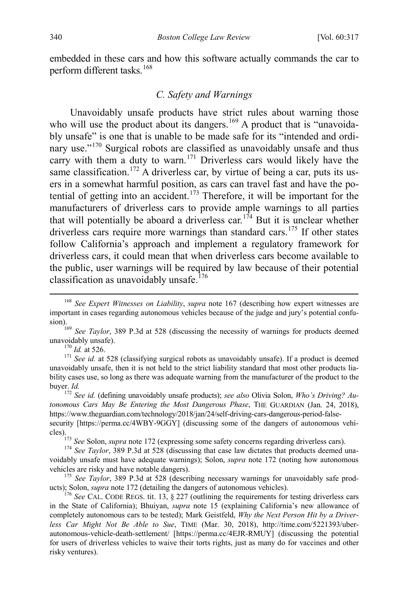embedded in these cars and how this software actually commands the car to perform different tasks.<sup>[168](#page-24-2)</sup>

#### <span id="page-24-1"></span>*C. Safety and Warnings*

Unavoidably unsafe products have strict rules about warning those who will use the product about its dangers.<sup>[169](#page-24-3)</sup> A product that is "unavoidably unsafe" is one that is unable to be made safe for its "intended and ordi-nary use."<sup>[170](#page-24-4)</sup> Surgical robots are classified as unavoidably unsafe and thus carry with them a duty to warn.<sup>[171](#page-24-5)</sup> Driverless cars would likely have the same classification.<sup>[172](#page-24-6)</sup> A driverless car, by virtue of being a car, puts its users in a somewhat harmful position, as cars can travel fast and have the po-tential of getting into an accident.<sup>[173](#page-24-7)</sup> Therefore, it will be important for the manufacturers of driverless cars to provide ample warnings to all parties that will potentially be aboard a driverless car.<sup>[174](#page-24-8)</sup> But it is unclear whether driverless cars require more warnings than standard cars.<sup>[175](#page-24-9)</sup> If other states follow California's approach and implement a regulatory framework for driverless cars, it could mean that when driverless cars become available to the public, user warnings will be required by law because of their potential classification as unavoidably unsafe.<sup>[176](#page-24-10)</sup>

<span id="page-24-5"></span><span id="page-24-4"></span><sup>170</sup> *Id.* at 526. <sup>171</sup> *See id.* at 528 (classifying surgical robots as unavoidably unsafe). If a product is deemed unavoidably unsafe, then it is not held to the strict liability standard that most other products liability cases use, so long as there was adequate warning from the manufacturer of the product to the buyer. *Id.* <sup>172</sup> *See id.* (defining unavoidably unsafe products); *see also* Olivia Solon, *Who's Driving? Au-*

<span id="page-24-6"></span>*tonomous Cars May Be Entering the Most Dangerous Phase*, THE GUARDIAN (Jan. 24, 2018), https://www.theguardian.com/technology/2018/jan/24/self-driving-cars-dangerous-period-falsesecurity [https://perma.cc/4WBY-9GGY] (discussing some of the dangers of autonomous vehi-

<sup>173</sup> *See* Solon, *supra* not[e 172](#page-24-1) (expressing some safety concerns regarding driverless cars). <sup>174</sup> *See Taylor*, 389 P.3d at 528 (discussing that case law dictates that products deemed una-

<span id="page-24-8"></span><span id="page-24-7"></span>voidably unsafe must have adequate warnings); Solon, *supra* note [172](#page-24-1) (noting how autonomous vehicles are risky and have notable dangers). <sup>175</sup> *See Taylor*, 389 P.3d at 528 (describing necessary warnings for unavoidably safe prod-

<span id="page-24-9"></span>ucts); Solon, *supra* not[e 172](#page-24-1) (detailing the dangers of autonomous vehicles). <sup>176</sup> *See* CAL. CODE REGS. tit. 13, § 227 (outlining the requirements for testing driverless cars

<span id="page-24-10"></span>in the State of California); Bhuiyan, *supra* note [15](#page-3-0) (explaining California's new allowance of completely autonomous cars to be tested); Mark Geistfeld, *Why the Next Person Hit by a Driverless Car Might Not Be Able to Sue*, TIME (Mar. 30, 2018), http://time.com/5221393/uberautonomous-vehicle-death-settlement/ [https://perma.cc/4EJR-RMUY] (discussing the potential for users of driverless vehicles to waive their torts rights, just as many do for vaccines and other risky ventures).

<span id="page-24-2"></span><span id="page-24-0"></span> <sup>168</sup> *See Expert Witnesses on Liability*, *supra* note [167](#page-23-6) (describing how expert witnesses are important in cases regarding autonomous vehicles because of the judge and jury's potential confu-

<span id="page-24-3"></span>sion).<br><sup>169</sup> *See Taylor*, 389 P.3d at 528 (discussing the necessity of warnings for products deemed unavoidably unsafe).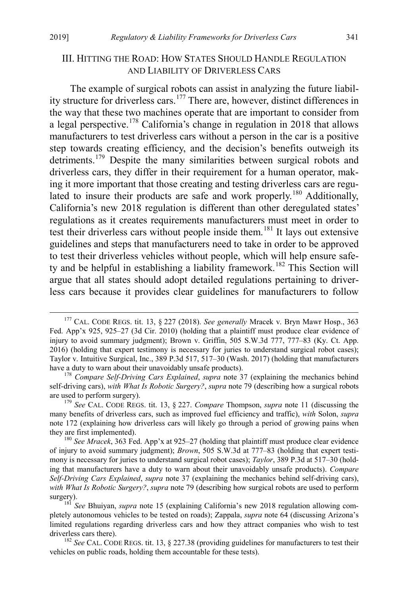#### <span id="page-25-0"></span>III. HITTING THE ROAD: HOW STATES SHOULD HANDLE REGULATION AND LIABILITY OF DRIVERLESS CARS

The example of surgical robots can assist in analyzing the future liability structure for driverless cars.[177](#page-25-1) There are, however, distinct differences in the way that these two machines operate that are important to consider from a legal perspective.<sup>[178](#page-25-2)</sup> California's change in regulation in 2018 that allows manufacturers to test driverless cars without a person in the car is a positive step towards creating efficiency, and the decision's benefits outweigh its detriments.<sup>[179](#page-25-3)</sup> Despite the many similarities between surgical robots and driverless cars, they differ in their requirement for a human operator, making it more important that those creating and testing driverless cars are regulated to insure their products are safe and work properly.<sup>180</sup> Additionally, California's new 2018 regulation is different than other deregulated states' regulations as it creates requirements manufacturers must meet in order to test their driverless cars without people inside them.<sup>[181](#page-25-5)</sup> It lays out extensive guidelines and steps that manufacturers need to take in order to be approved to test their driverless vehicles without people, which will help ensure safe-ty and be helpful in establishing a liability framework.<sup>[182](#page-25-6)</sup> This Section will argue that all states should adopt detailed regulations pertaining to driverless cars because it provides clear guidelines for manufacturers to follow

<span id="page-25-1"></span> <sup>177</sup> CAL. CODE REGS. tit. 13, § 227 (2018). *See generally* Mracek v. Bryn Mawr Hosp., 363 Fed. App'x 925, 925–27 (3d Cir. 2010) (holding that a plaintiff must produce clear evidence of injury to avoid summary judgment); Brown v. Griffin, 505 S.W.3d 777, 777–83 (Ky. Ct. App. 2016) (holding that expert testimony is necessary for juries to understand surgical robot cases); Taylor v. Intuitive Surgical, Inc., 389 P.3d 517, 517–30 (Wash. 2017) (holding that manufacturers have a duty to warn about their unavoidably unsafe products). <sup>178</sup> *Compare Self-Driving Cars Explained*, *supra* note [37](#page-7-9) (explaining the mechanics behind

<span id="page-25-2"></span>self-driving cars), *with What Is Robotic Surgery?*, *supra* not[e 79](#page-12-0) (describing how a surgical robots are used to perform surgery). <sup>179</sup> *See* CAL. CODE REGS. tit. 13, § 227. *Compare* Thompson, *supra* note [11](#page-2-11) (discussing the

<span id="page-25-3"></span>many benefits of driverless cars, such as improved fuel efficiency and traffic), *with* Solon, *supra* note [172](#page-24-1) (explaining how driverless cars will likely go through a period of growing pains when they are first implemented). <sup>180</sup> *See Mracek*, 363 Fed. App'x at 925–27 (holding that plaintiff must produce clear evidence

<span id="page-25-4"></span>of injury to avoid summary judgment); *Brown*, 505 S.W.3d at 777–83 (holding that expert testimony is necessary for juries to understand surgical robot cases); *Taylor*, 389 P.3d at 517–30 (holding that manufacturers have a duty to warn about their unavoidably unsafe products). *Compare Self-Driving Cars Explained*, *supra* note [37](#page-7-9) (explaining the mechanics behind self-driving cars), *with What Is Robotic Surgery?*, *supra* not[e 79](#page-12-0) (describing how surgical robots are used to perform surgery). <sup>181</sup> *See* Bhuiyan, *supra* note [15](#page-3-0) (explaining California's new 2018 regulation allowing com-

<span id="page-25-5"></span>pletely autonomous vehicles to be tested on roads); Zappala, *supra* note [64](#page-10-9) (discussing Arizona's limited regulations regarding driverless cars and how they attract companies who wish to test driverless cars there). <sup>182</sup> *See* CAL. CODE REGS. tit. 13, § 227.38 (providing guidelines for manufacturers to test their

<span id="page-25-6"></span>vehicles on public roads, holding them accountable for these tests).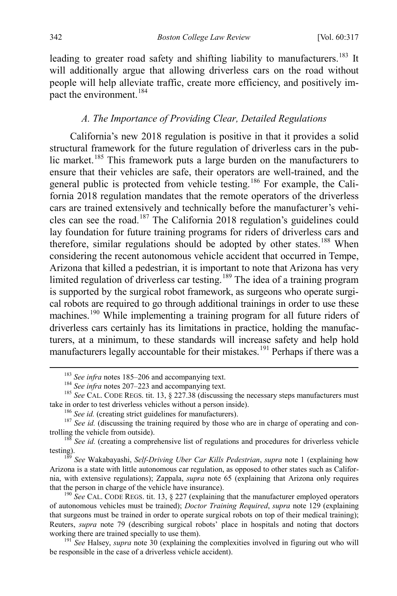leading to greater road safety and shifting liability to manufacturers.<sup>[183](#page-26-1)</sup> It will additionally argue that allowing driverless cars on the road without people will help alleviate traffic, create more efficiency, and positively im-pact the environment.<sup>[184](#page-26-2)</sup>

#### <span id="page-26-0"></span>*A. The Importance of Providing Clear, Detailed Regulations*

California's new 2018 regulation is positive in that it provides a solid structural framework for the future regulation of driverless cars in the pub-lic market.<sup>[185](#page-26-3)</sup> This framework puts a large burden on the manufacturers to ensure that their vehicles are safe, their operators are well-trained, and the general public is protected from vehicle testing.<sup>[186](#page-26-4)</sup> For example, the California 2018 regulation mandates that the remote operators of the driverless cars are trained extensively and technically before the manufacturer's vehi-cles can see the road.<sup>[187](#page-26-5)</sup> The California 2018 regulation's guidelines could lay foundation for future training programs for riders of driverless cars and therefore, similar regulations should be adopted by other states.<sup>[188](#page-26-6)</sup> When considering the recent autonomous vehicle accident that occurred in Tempe, Arizona that killed a pedestrian, it is important to note that Arizona has very limited regulation of driverless car testing.<sup>[189](#page-26-7)</sup> The idea of a training program is supported by the surgical robot framework, as surgeons who operate surgical robots are required to go through additional trainings in order to use these machines.<sup>[190](#page-26-8)</sup> While implementing a training program for all future riders of driverless cars certainly has its limitations in practice, holding the manufacturers, at a minimum, to these standards will increase safety and help hold manufacturers legally accountable for their mistakes.<sup>[191](#page-26-9)</sup> Perhaps if there was a

<span id="page-26-2"></span><span id="page-26-1"></span><sup>&</sup>lt;sup>183</sup> See infra notes [185–](#page-26-0)[206](#page-28-0) and accompanying text.<br><sup>184</sup> See infra notes [207–](#page-28-1)[223](#page-30-0) and accompanying text.<br><sup>185</sup> See CAL. CODE REGS. tit. 13, § 227.38 (discussing the necessary steps manufacturers must

<span id="page-26-5"></span><span id="page-26-4"></span><span id="page-26-3"></span>take in order to test driverless vehicles without a person inside).<br><sup>186</sup> See id. (creating strict guidelines for manufacturers).<br><sup>187</sup> See id. (discussing the training required by those who are in charge of operating and

 $188$  *See id.* (creating a comprehensive list of regulations and procedures for driverless vehicle

<span id="page-26-7"></span><span id="page-26-6"></span>testing). <sup>189</sup> *See* Wakabayashi, *Self-Driving Uber Car Kills Pedestrian*, *supra* note [1](#page-1-0) (explaining how Arizona is a state with little autonomous car regulation, as opposed to other states such as California, with extensive regulations); Zappala, *supra* note [65](#page-10-0) (explaining that Arizona only requires that the person in charge of the vehicle have insurance).<br><sup>190</sup> *See* CAL. CODE REGS. tit. 13, § 227 (explaining that the manufacturer employed operators

<span id="page-26-8"></span>of autonomous vehicles must be trained); *Doctor Training Required*, *supra* note [129](#page-19-2) (explaining that surgeons must be trained in order to operate surgical robots on top of their medical training); Reuters, *supra* note [79](#page-12-0) (describing surgical robots' place in hospitals and noting that doctors working there are trained specially to use them). 191 *See* Halsey, *supra* note [30](#page-5-8) (explaining the complexities involved in figuring out who will

<span id="page-26-9"></span>be responsible in the case of a driverless vehicle accident).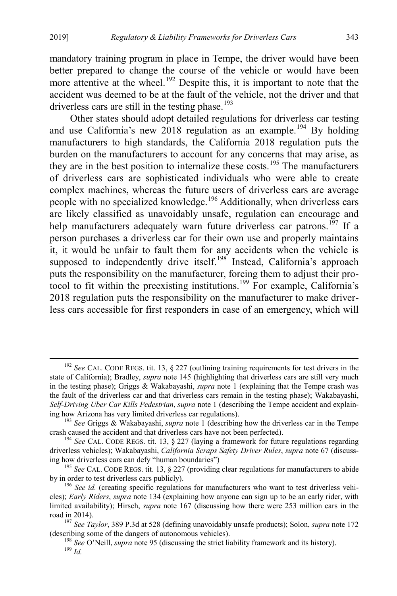mandatory training program in place in Tempe, the driver would have been better prepared to change the course of the vehicle or would have been more attentive at the wheel.<sup>[192](#page-27-0)</sup> Despite this, it is important to note that the accident was deemed to be at the fault of the vehicle, not the driver and that driverless cars are still in the testing phase.<sup>[193](#page-27-1)</sup>

Other states should adopt detailed regulations for driverless car testing and use California's new 2018 regulation as an example.<sup>[194](#page-27-2)</sup> By holding manufacturers to high standards, the California 2018 regulation puts the burden on the manufacturers to account for any concerns that may arise, as they are in the best position to internalize these costs.<sup>[195](#page-27-3)</sup> The manufacturers of driverless cars are sophisticated individuals who were able to create complex machines, whereas the future users of driverless cars are average people with no specialized knowledge.<sup>[196](#page-27-4)</sup> Additionally, when driverless cars are likely classified as unavoidably unsafe, regulation can encourage and help manufacturers adequately warn future driverless car patrons.<sup>[197](#page-27-5)</sup> If a person purchases a driverless car for their own use and properly maintains it, it would be unfair to fault them for any accidents when the vehicle is supposed to independently drive itself.<sup>[198](#page-27-6)</sup> Instead, California's approach puts the responsibility on the manufacturer, forcing them to adjust their protocol to fit within the preexisting institutions.[199](#page-27-7) For example, California's 2018 regulation puts the responsibility on the manufacturer to make driverless cars accessible for first responders in case of an emergency, which will

<span id="page-27-0"></span><sup>&</sup>lt;sup>192</sup> See CAL. CODE REGS. tit. 13, § 227 (outlining training requirements for test drivers in the state of California); Bradley, *supra* note [145](#page-20-0) (highlighting that driverless cars are still very much in the testing phase); Griggs & Wakabayashi, *supra* note [1](#page-1-0) (explaining that the Tempe crash was the fault of the driverless car and that driverless cars remain in the testing phase); Wakabayashi, *Self-Driving Uber Car Kills Pedestrian*, *supra* not[e 1](#page-1-0) (describing the Tempe accident and explain-

<span id="page-27-1"></span><sup>&</sup>lt;sup>193</sup> See Griggs & Wakabayashi, *supra* note [1](#page-1-0) (describing how the driverless car in the Tempe crash caused the accident and that driverless cars have not been perfected). <sup>194</sup> *See* CAL. CODE REGS. tit. 13, § 227 (laying a framework for future regulations regarding

<span id="page-27-2"></span>driverless vehicles); Wakabayashi, *California Scraps Safety Driver Rules*, *supra* note [67](#page-10-8) (discuss-

<span id="page-27-3"></span><sup>&</sup>lt;sup>195</sup> *See* CAL. CODE REGS. tit. 13, § 227 (providing clear regulations for manufacturers to abide by in order to test driverless cars publicly).

<span id="page-27-4"></span><sup>&</sup>lt;sup>196</sup> See id. (creating specific regulations for manufacturers who want to test driverless vehicles); *Early Riders*, *supra* note [134](#page-19-13) (explaining how anyone can sign up to be an early rider, with limited availability); Hirsch, *supra* note [167](#page-23-6) (discussing how there were 253 million cars in the road in 2014). <sup>197</sup> *See Taylor*, 389 P.3d at 528 (defining unavoidably unsafe products); Solon, *supra* not[e 172](#page-24-1)

<span id="page-27-5"></span>

<span id="page-27-7"></span><span id="page-27-6"></span><sup>(</sup>describing some of the dangers of autonomous vehicles). <sup>198</sup> *See* O'Neill, *supra* not[e 95](#page-14-8) (discussing the strict liability framework and its history). <sup>199</sup> *Id.*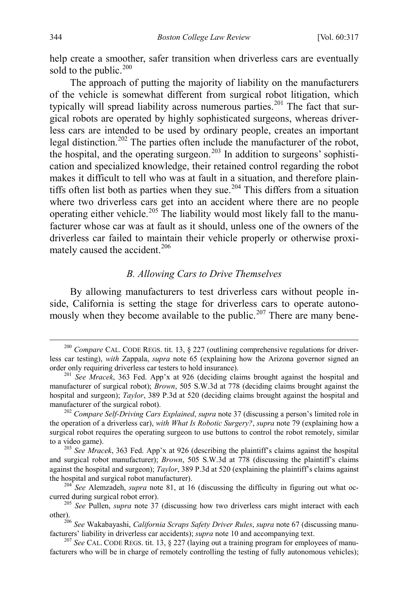help create a smoother, safer transition when driverless cars are eventually sold to the public. $200$ 

The approach of putting the majority of liability on the manufacturers of the vehicle is somewhat different from surgical robot litigation, which typically will spread liability across numerous parties.<sup>[201](#page-28-3)</sup> The fact that surgical robots are operated by highly sophisticated surgeons, whereas driverless cars are intended to be used by ordinary people, creates an important legal distinction.[202](#page-28-4) The parties often include the manufacturer of the robot, the hospital, and the operating surgeon.<sup>[203](#page-28-5)</sup> In addition to surgeons' sophistication and specialized knowledge, their retained control regarding the robot makes it difficult to tell who was at fault in a situation, and therefore plain-tiffs often list both as parties when they sue.<sup>[204](#page-28-6)</sup> This differs from a situation where two driverless cars get into an accident where there are no people operating either vehicle.<sup>[205](#page-28-7)</sup> The liability would most likely fall to the manufacturer whose car was at fault as it should, unless one of the owners of the driverless car failed to maintain their vehicle properly or otherwise proxi-mately caused the accident.<sup>[206](#page-28-8)</sup>

#### <span id="page-28-1"></span><span id="page-28-0"></span>*B. Allowing Cars to Drive Themselves*

By allowing manufacturers to test driverless cars without people inside, California is setting the stage for driverless cars to operate autono-mously when they become available to the public.<sup>[207](#page-28-9)</sup> There are many bene-

<span id="page-28-2"></span> <sup>200</sup> *Compare* CAL. CODE REGS. tit. 13, § 227 (outlining comprehensive regulations for driverless car testing), *with* Zappala, *supra* note [65](#page-10-0) (explaining how the Arizona governor signed an order only requiring driverless car testers to hold insurance). <sup>201</sup> *See Mracek*, 363 Fed. App'x at 926 (deciding claims brought against the hospital and

<span id="page-28-3"></span>manufacturer of surgical robot); *Brown*, 505 S.W.3d at 778 (deciding claims brought against the hospital and surgeon); *Taylor*, 389 P.3d at 520 (deciding claims brought against the hospital and manufacturer of the surgical robot).<br><sup>202</sup> *Compare Self-Driving Cars Explained, supra* note [37](#page-7-9) (discussing a person's limited role in

<span id="page-28-4"></span>the operation of a driverless car), *with What Is Robotic Surgery?*, *supra* note [79](#page-12-0) (explaining how a surgical robot requires the operating surgeon to use buttons to control the robot remotely, similar

<span id="page-28-5"></span>to a video game). <sup>203</sup> *See Mracek*, 363 Fed. App'x at 926 (describing the plaintiff's claims against the hospital and surgical robot manufacturer); *Brown*, 505 S.W.3d at 778 (discussing the plaintiff's claims against the hospital and surgeon); *Taylor*, 389 P.3d at 520 (explaining the plaintiff's claims against

<span id="page-28-6"></span>the hospital and surgical robot manufacturer).<br><sup>204</sup> *See* Alemzadeh, *supra* note [81,](#page-12-6) at 16 (discussing the difficulty in figuring out what oc-<br>curred during surgical robot error).

<span id="page-28-7"></span><sup>&</sup>lt;sup>205</sup> *See* Pullen, *supra* note [37](#page-7-9) (discussing how two driverless cars might interact with each other).

<span id="page-28-8"></span><sup>&</sup>lt;sup>206</sup> See Wakabayashi, *California Scraps Safety Driver Rules*, *supra* not[e 67](#page-10-8) (discussing manufacturers' liability in driverless car accidents); *supra* note [10](#page-2-12) and accompanying text.<br><sup>207</sup> *See* CAL. CODE REGS. tit. 13, § 227 (laying out a training program for employees of manu-

<span id="page-28-9"></span>facturers who will be in charge of remotely controlling the testing of fully autonomous vehicles);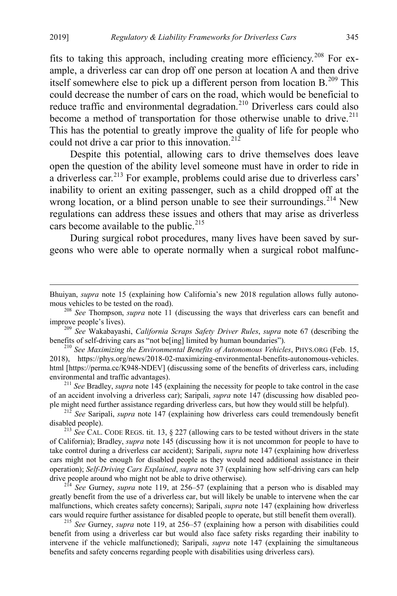fits to taking this approach, including creating more efficiency.<sup>[208](#page-29-0)</sup> For example, a driverless car can drop off one person at location A and then drive itself somewhere else to pick up a different person from location B.<sup>[209](#page-29-1)</sup> This could decrease the number of cars on the road, which would be beneficial to reduce traffic and environmental degradation.<sup>[210](#page-29-2)</sup> Driverless cars could also become a method of transportation for those otherwise unable to drive.<sup>[211](#page-29-3)</sup> This has the potential to greatly improve the quality of life for people who could not drive a car prior to this innovation.<sup>[212](#page-29-4)</sup>

Despite this potential, allowing cars to drive themselves does leave open the question of the ability level someone must have in order to ride in a driverless car.[213](#page-29-5) For example, problems could arise due to driverless cars' inability to orient an exiting passenger, such as a child dropped off at the wrong location, or a blind person unable to see their surroundings.<sup>[214](#page-29-6)</sup> New regulations can address these issues and others that may arise as driverless cars become available to the public. $215$ 

During surgical robot procedures, many lives have been saved by surgeons who were able to operate normally when a surgical robot malfunc-

<span id="page-29-1"></span><sup>209</sup> *See Wakabayashi, California Scraps Safety Driver Rules, supra* note [67](#page-10-8) (describing the benefits of self-driving cars as "not be[ing] limited by human boundaries").

<span id="page-29-2"></span><sup>210</sup> See Maximizing the Environmental Benefits of Autonomous Vehicles, PHYS.ORG (Feb. 15, 2018), https://phys.org/news/2018-02-maximizing-environmental-benefits-autonomous-vehicles. html [https://perma.cc/K948-NDEV] (discussing some of the benefits of driverless cars, including environmental and traffic advantages). <sup>211</sup> *See* Bradley, *supra* note [145](#page-20-0) (explaining the necessity for people to take control in the case

<span id="page-29-3"></span>of an accident involving a driverless car); Saripali, *supra* note [147](#page-20-10) (discussing how disabled people might need further assistance regarding driverless cars, but how they would still be helpful). <sup>212</sup> *See* Saripali, *supra* note [147](#page-20-10) (explaining how driverless cars could tremendously benefit

<span id="page-29-4"></span>disabled people). <sup>213</sup> *See* CAL. CODE REGS. tit. 13, § 227 (allowing cars to be tested without drivers in the state

<span id="page-29-5"></span>of California); Bradley, *supra* note [145](#page-20-0) (discussing how it is not uncommon for people to have to take control during a driverless car accident); Saripali, *supra* note [147](#page-20-10) (explaining how driverless cars might not be enough for disabled people as they would need additional assistance in their operation); *Self-Driving Cars Explained*, *supra* not[e 37](#page-7-9) (explaining how self-driving cars can help drive people around who might not be able to drive otherwise). <sup>214</sup> *See* Gurney, *supra* note [119,](#page-17-1) at 256–57 (explaining that a person who is disabled may

<span id="page-29-6"></span>greatly benefit from the use of a driverless car, but will likely be unable to intervene when the car malfunctions, which creates safety concerns); Saripali, *supra* note [147](#page-20-10) (explaining how driverless cars would require further assistance for disabled people to operate, but still benefit them overall). <sup>215</sup> *See* Gurney, *supra* note [119,](#page-17-1) at 256–57 (explaining how a person with disabilities could

<span id="page-29-7"></span>benefit from using a driverless car but would also face safety risks regarding their inability to intervene if the vehicle malfunctioned); Saripali, *supra* note [147](#page-20-10) (explaining the simultaneous benefits and safety concerns regarding people with disabilities using driverless cars).

Bhuiyan, *supra* note [15](#page-3-0) (explaining how California's new 2018 regulation allows fully autono-<br>mous vehicles to be tested on the road).

<span id="page-29-0"></span><sup>&</sup>lt;sup>208</sup> *See* Thompson, *supra* note [11](#page-2-11) (discussing the ways that driverless cars can benefit and improve people's lives).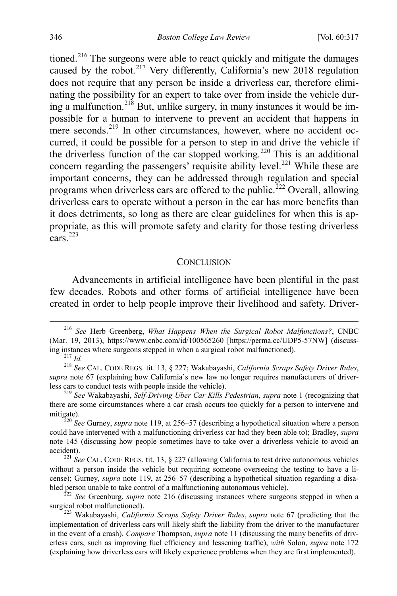<span id="page-30-1"></span>tioned.<sup>[216](#page-30-2)</sup> The surgeons were able to react quickly and mitigate the damages caused by the robot.<sup>[217](#page-30-3)</sup> Very differently, California's new 2018 regulation does not require that any person be inside a driverless car, therefore eliminating the possibility for an expert to take over from inside the vehicle dur-ing a malfunction.<sup>[218](#page-30-4)</sup> But, unlike surgery, in many instances it would be impossible for a human to intervene to prevent an accident that happens in mere seconds.<sup>[219](#page-30-5)</sup> In other circumstances, however, where no accident occurred, it could be possible for a person to step in and drive the vehicle if the driverless function of the car stopped working.<sup>[220](#page-30-6)</sup> This is an additional concern regarding the passengers' requisite ability level.<sup>[221](#page-30-7)</sup> While these are important concerns, they can be addressed through regulation and special programs when driverless cars are offered to the public.<sup>[222](#page-30-8)</sup> Overall, allowing driverless cars to operate without a person in the car has more benefits than it does detriments, so long as there are clear guidelines for when this is appropriate, as this will promote safety and clarity for those testing driverless  $\arcsin^2$ 

#### **CONCLUSION**

<span id="page-30-0"></span>Advancements in artificial intelligence have been plentiful in the past few decades. Robots and other forms of artificial intelligence have been created in order to help people improve their livelihood and safety. Driver-

<span id="page-30-2"></span> <sup>216</sup> *See* Herb Greenberg, *What Happens When the Surgical Robot Malfunctions?*, CNBC (Mar. 19, 2013), https://www.cnbc.com/id/100565260 [https://perma.cc/UDP5-57NW] (discuss-<br>ing instances where surgeons stepped in when a surgical robot malfunctioned).

<span id="page-30-4"></span><span id="page-30-3"></span>ing instances where surgeons stepped in when a surgical robot malfunctioned). <sup>217</sup> *Id.* <sup>218</sup> *See* CAL. CODE REGS. tit. 13, § 227; Wakabayashi, *California Scraps Safety Driver Rules*, *supra* note [67](#page-10-8) (explaining how California's new law no longer requires manufacturers of driverless cars to conduct tests with people inside the vehicle). <sup>219</sup> *See* Wakabayashi, *Self-Driving Uber Car Kills Pedestrian*, *supra* note [1](#page-1-0) (recognizing that

<span id="page-30-5"></span>there are some circumstances where a car crash occurs too quickly for a person to intervene and

<span id="page-30-6"></span>mitigate). <sup>220</sup> *See* Gurney, *supra* note [119,](#page-17-1) at 256–57 (describing a hypothetical situation where a person could have intervened with a malfunctioning driverless car had they been able to); Bradley, *supra* note [145](#page-20-0) (discussing how people sometimes have to take over a driverless vehicle to avoid an

<span id="page-30-7"></span><sup>&</sup>lt;sup>221</sup> See CAL. CODE REGS. tit. 13, § 227 (allowing California to test drive autonomous vehicles without a person inside the vehicle but requiring someone overseeing the testing to have a license); Gurney, *supra* note [119,](#page-17-1) at 256–57 (describing a hypothetical situation regarding a disa-

<span id="page-30-8"></span>bled person unable to take control of a malfunctioning autonomous vehicle).<br><sup>222</sup> *See* Greenburg, *supra* note [216](#page-30-1) (discussing instances where surgeons stepped in when a surgical robot malfunctioned).

<span id="page-30-9"></span><sup>&</sup>lt;sup>223</sup> Wakabayashi, *California Scraps Safety Driver Rules*, *supra* note [67](#page-10-8) (predicting that the implementation of driverless cars will likely shift the liability from the driver to the manufacturer in the event of a crash). *Compare* Thompson, *supra* note [11](#page-2-11) (discussing the many benefits of driverless cars, such as improving fuel efficiency and lessening traffic), *with* Solon, *supra* note [172](#page-24-1) (explaining how driverless cars will likely experience problems when they are first implemented).